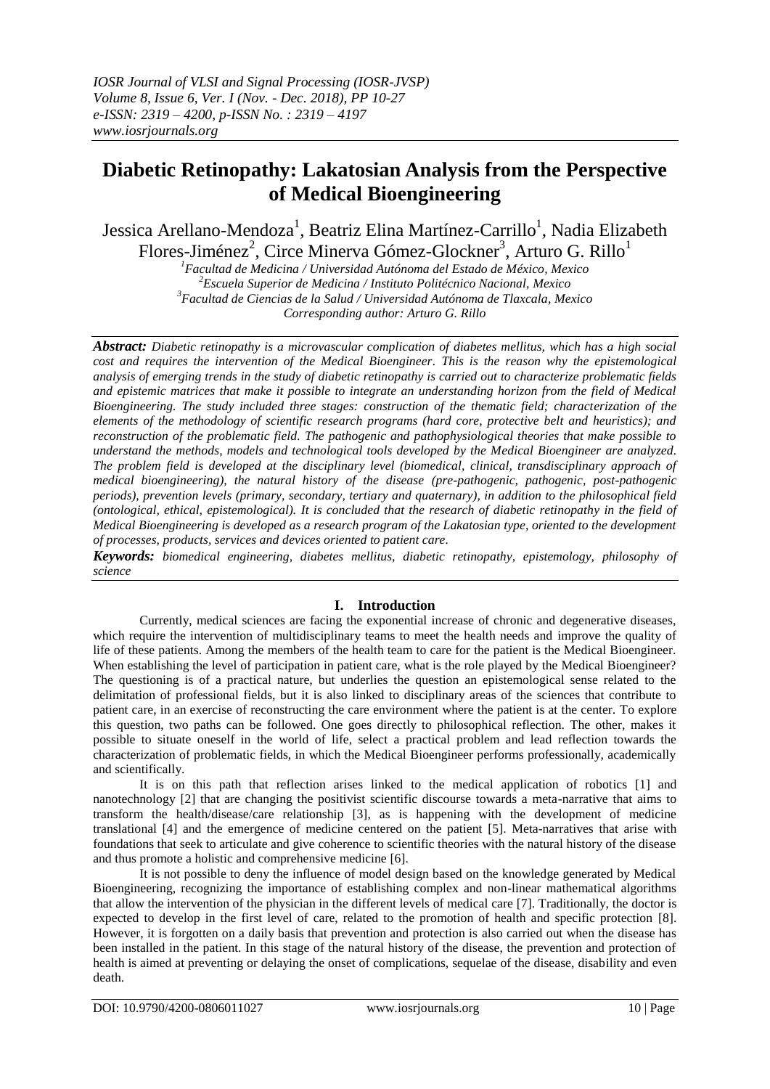# **Diabetic Retinopathy: Lakatosian Analysis from the Perspective of Medical Bioengineering**

Jessica Arellano-Mendoza<sup>1</sup>, Beatriz Elina Martínez-Carrillo<sup>1</sup>, Nadia Elizabeth Flores-Jiménez<sup>2</sup>, Circe Minerva Gómez-Glockner<sup>3</sup>, Arturo G. Rillo<sup>1</sup>

*Facultad de Medicina / Universidad Autónoma del Estado de México, Mexico Escuela Superior de Medicina / Instituto Politécnico Nacional, Mexico Facultad de Ciencias de la Salud / Universidad Autónoma de Tlaxcala, Mexico Corresponding author: Arturo G. Rillo*

*Abstract: Diabetic retinopathy is a microvascular complication of diabetes mellitus, which has a high social cost and requires the intervention of the Medical Bioengineer. This is the reason why the epistemological analysis of emerging trends in the study of diabetic retinopathy is carried out to characterize problematic fields and epistemic matrices that make it possible to integrate an understanding horizon from the field of Medical Bioengineering. The study included three stages: construction of the thematic field; characterization of the elements of the methodology of scientific research programs (hard core, protective belt and heuristics); and reconstruction of the problematic field. The pathogenic and pathophysiological theories that make possible to understand the methods, models and technological tools developed by the Medical Bioengineer are analyzed. The problem field is developed at the disciplinary level (biomedical, clinical, transdisciplinary approach of medical bioengineering), the natural history of the disease (pre-pathogenic, pathogenic, post-pathogenic periods), prevention levels (primary, secondary, tertiary and quaternary), in addition to the philosophical field (ontological, ethical, epistemological). It is concluded that the research of diabetic retinopathy in the field of Medical Bioengineering is developed as a research program of the Lakatosian type, oriented to the development of processes, products, services and devices oriented to patient care.*

*Keywords: biomedical engineering, diabetes mellitus, diabetic retinopathy, epistemology, philosophy of science*

## **I. Introduction**

Currently, medical sciences are facing the exponential increase of chronic and degenerative diseases, which require the intervention of multidisciplinary teams to meet the health needs and improve the quality of life of these patients. Among the members of the health team to care for the patient is the Medical Bioengineer. When establishing the level of participation in patient care, what is the role played by the Medical Bioengineer? The questioning is of a practical nature, but underlies the question an epistemological sense related to the delimitation of professional fields, but it is also linked to disciplinary areas of the sciences that contribute to patient care, in an exercise of reconstructing the care environment where the patient is at the center. To explore this question, two paths can be followed. One goes directly to philosophical reflection. The other, makes it possible to situate oneself in the world of life, select a practical problem and lead reflection towards the characterization of problematic fields, in which the Medical Bioengineer performs professionally, academically and scientifically.

It is on this path that reflection arises linked to the medical application of robotics [1] and nanotechnology [2] that are changing the positivist scientific discourse towards a meta-narrative that aims to transform the health/disease/care relationship [3], as is happening with the development of medicine translational [4] and the emergence of medicine centered on the patient [5]. Meta-narratives that arise with foundations that seek to articulate and give coherence to scientific theories with the natural history of the disease and thus promote a holistic and comprehensive medicine [6].

It is not possible to deny the influence of model design based on the knowledge generated by Medical Bioengineering, recognizing the importance of establishing complex and non-linear mathematical algorithms that allow the intervention of the physician in the different levels of medical care [7]. Traditionally, the doctor is expected to develop in the first level of care, related to the promotion of health and specific protection [8]. However, it is forgotten on a daily basis that prevention and protection is also carried out when the disease has been installed in the patient. In this stage of the natural history of the disease, the prevention and protection of health is aimed at preventing or delaying the onset of complications, sequelae of the disease, disability and even death.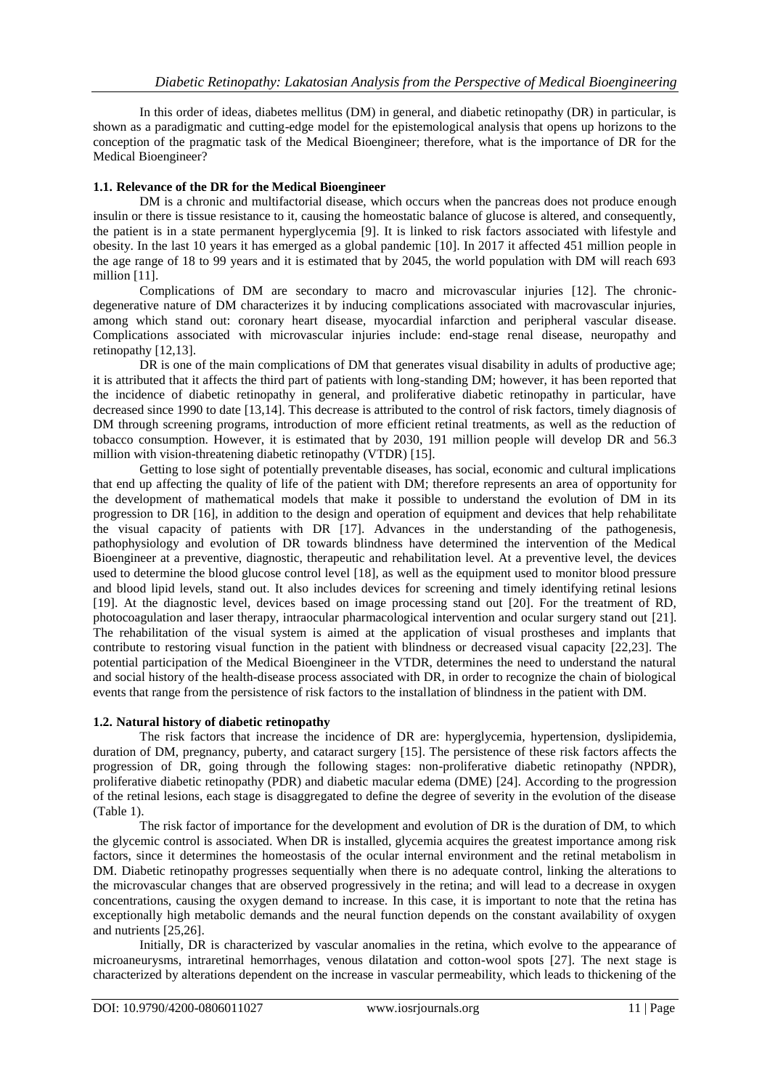In this order of ideas, diabetes mellitus (DM) in general, and diabetic retinopathy (DR) in particular, is shown as a paradigmatic and cutting-edge model for the epistemological analysis that opens up horizons to the conception of the pragmatic task of the Medical Bioengineer; therefore, what is the importance of DR for the Medical Bioengineer?

#### **1.1. Relevance of the DR for the Medical Bioengineer**

DM is a chronic and multifactorial disease, which occurs when the pancreas does not produce enough insulin or there is tissue resistance to it, causing the homeostatic balance of glucose is altered, and consequently, the patient is in a state permanent hyperglycemia [9]. It is linked to risk factors associated with lifestyle and obesity. In the last 10 years it has emerged as a global pandemic [10]. In 2017 it affected 451 million people in the age range of 18 to 99 years and it is estimated that by 2045, the world population with DM will reach 693 million [11].

Complications of DM are secondary to macro and microvascular injuries [12]. The chronicdegenerative nature of DM characterizes it by inducing complications associated with macrovascular injuries, among which stand out: coronary heart disease, myocardial infarction and peripheral vascular disease. Complications associated with microvascular injuries include: end-stage renal disease, neuropathy and retinopathy [12,13].

DR is one of the main complications of DM that generates visual disability in adults of productive age; it is attributed that it affects the third part of patients with long-standing DM; however, it has been reported that the incidence of diabetic retinopathy in general, and proliferative diabetic retinopathy in particular, have decreased since 1990 to date [13,14]. This decrease is attributed to the control of risk factors, timely diagnosis of DM through screening programs, introduction of more efficient retinal treatments, as well as the reduction of tobacco consumption. However, it is estimated that by 2030, 191 million people will develop DR and 56.3 million with vision-threatening diabetic retinopathy (VTDR) [15].

Getting to lose sight of potentially preventable diseases, has social, economic and cultural implications that end up affecting the quality of life of the patient with DM; therefore represents an area of opportunity for the development of mathematical models that make it possible to understand the evolution of DM in its progression to DR [16], in addition to the design and operation of equipment and devices that help rehabilitate the visual capacity of patients with DR [17]. Advances in the understanding of the pathogenesis, pathophysiology and evolution of DR towards blindness have determined the intervention of the Medical Bioengineer at a preventive, diagnostic, therapeutic and rehabilitation level. At a preventive level, the devices used to determine the blood glucose control level [18], as well as the equipment used to monitor blood pressure and blood lipid levels, stand out. It also includes devices for screening and timely identifying retinal lesions [19]. At the diagnostic level, devices based on image processing stand out [20]. For the treatment of RD, photocoagulation and laser therapy, intraocular pharmacological intervention and ocular surgery stand out [21]. The rehabilitation of the visual system is aimed at the application of visual prostheses and implants that contribute to restoring visual function in the patient with blindness or decreased visual capacity [22,23]. The potential participation of the Medical Bioengineer in the VTDR, determines the need to understand the natural and social history of the health-disease process associated with DR, in order to recognize the chain of biological events that range from the persistence of risk factors to the installation of blindness in the patient with DM.

#### **1.2. Natural history of diabetic retinopathy**

The risk factors that increase the incidence of DR are: hyperglycemia, hypertension, dyslipidemia, duration of DM, pregnancy, puberty, and cataract surgery [15]. The persistence of these risk factors affects the progression of DR, going through the following stages: non-proliferative diabetic retinopathy (NPDR), proliferative diabetic retinopathy (PDR) and diabetic macular edema (DME) [24]. According to the progression of the retinal lesions, each stage is disaggregated to define the degree of severity in the evolution of the disease (Table 1).

The risk factor of importance for the development and evolution of DR is the duration of DM, to which the glycemic control is associated. When DR is installed, glycemia acquires the greatest importance among risk factors, since it determines the homeostasis of the ocular internal environment and the retinal metabolism in DM. Diabetic retinopathy progresses sequentially when there is no adequate control, linking the alterations to the microvascular changes that are observed progressively in the retina; and will lead to a decrease in oxygen concentrations, causing the oxygen demand to increase. In this case, it is important to note that the retina has exceptionally high metabolic demands and the neural function depends on the constant availability of oxygen and nutrients [25,26].

Initially, DR is characterized by vascular anomalies in the retina, which evolve to the appearance of microaneurysms, intraretinal hemorrhages, venous dilatation and cotton-wool spots [27]. The next stage is characterized by alterations dependent on the increase in vascular permeability, which leads to thickening of the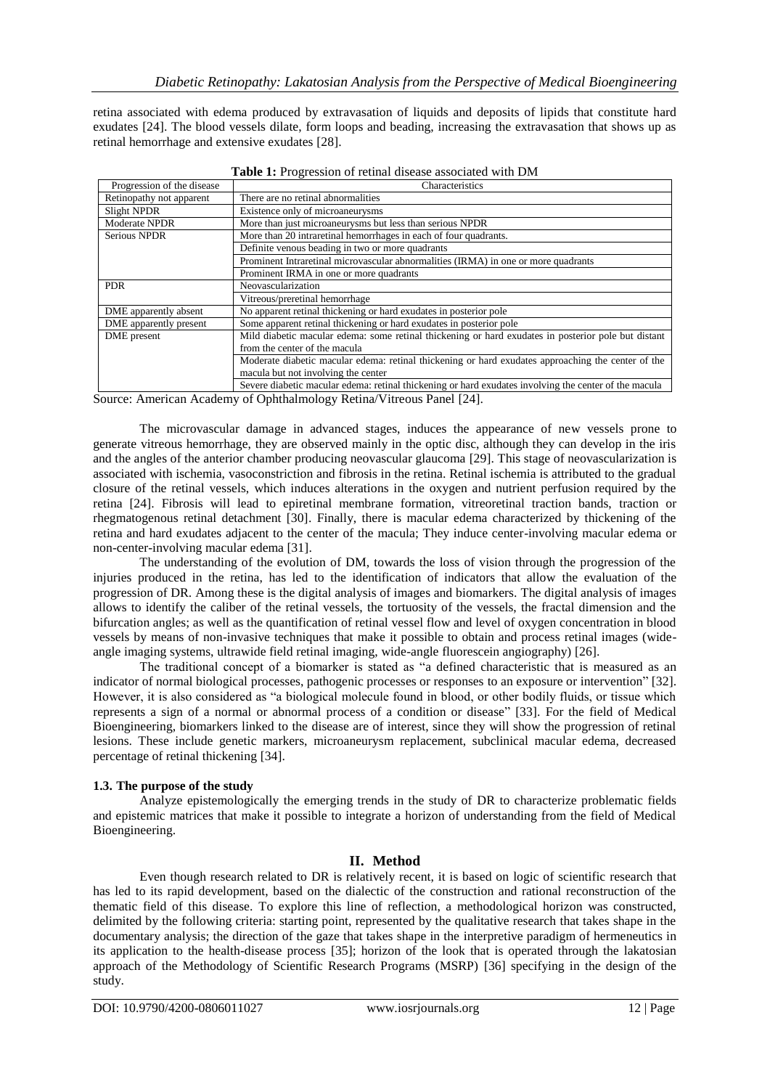retina associated with edema produced by extravasation of liquids and deposits of lipids that constitute hard exudates [24]. The blood vessels dilate, form loops and beading, increasing the extravasation that shows up as retinal hemorrhage and extensive exudates [28].

|                            | <b>Table 1:</b> Progression of feunal disease associated with DIM                                     |
|----------------------------|-------------------------------------------------------------------------------------------------------|
| Progression of the disease | Characteristics                                                                                       |
| Retinopathy not apparent   | There are no retinal abnormalities                                                                    |
| Slight NPDR                | Existence only of microaneurysms                                                                      |
| Moderate NPDR              | More than just microaneurysms but less than serious NPDR                                              |
| Serious NPDR               | More than 20 intraretinal hemorrhages in each of four quadrants.                                      |
|                            | Definite venous beading in two or more quadrants                                                      |
|                            | Prominent Intraretinal microvascular abnormalities (IRMA) in one or more quadrants                    |
|                            | Prominent IRMA in one or more quadrants                                                               |
| <b>PDR</b>                 | Neovascularization                                                                                    |
|                            | Vitreous/preretinal hemorrhage                                                                        |
| DME apparently absent      | No apparent retinal thickening or hard exudates in posterior pole                                     |
| DME apparently present     | Some apparent retinal thickening or hard exudates in posterior pole                                   |
| DME present                | Mild diabetic macular edema: some retinal thickening or hard exudates in posterior pole but distant   |
|                            | from the center of the macula                                                                         |
|                            | Moderate diabetic macular edema: retinal thickening or hard exudates approaching the center of the    |
|                            | macula but not involving the center                                                                   |
|                            | Severe diabetic macular edema: retinal thickening or hard exudates involving the center of the macula |

**Table 1:** Progression of retinal disease associated with DM

Source: American Academy of Ophthalmology Retina/Vitreous Panel [24].

The microvascular damage in advanced stages, induces the appearance of new vessels prone to generate vitreous hemorrhage, they are observed mainly in the optic disc, although they can develop in the iris and the angles of the anterior chamber producing neovascular glaucoma [29]. This stage of neovascularization is associated with ischemia, vasoconstriction and fibrosis in the retina. Retinal ischemia is attributed to the gradual closure of the retinal vessels, which induces alterations in the oxygen and nutrient perfusion required by the retina [24]. Fibrosis will lead to epiretinal membrane formation, vitreoretinal traction bands, traction or rhegmatogenous retinal detachment [30]. Finally, there is macular edema characterized by thickening of the retina and hard exudates adjacent to the center of the macula; They induce center-involving macular edema or non-center-involving macular edema [31].

The understanding of the evolution of DM, towards the loss of vision through the progression of the injuries produced in the retina, has led to the identification of indicators that allow the evaluation of the progression of DR. Among these is the digital analysis of images and biomarkers. The digital analysis of images allows to identify the caliber of the retinal vessels, the tortuosity of the vessels, the fractal dimension and the bifurcation angles; as well as the quantification of retinal vessel flow and level of oxygen concentration in blood vessels by means of non-invasive techniques that make it possible to obtain and process retinal images (wideangle imaging systems, ultrawide field retinal imaging, wide-angle fluorescein angiography) [26].

The traditional concept of a biomarker is stated as "a defined characteristic that is measured as an indicator of normal biological processes, pathogenic processes or responses to an exposure or intervention" [32]. However, it is also considered as "a biological molecule found in blood, or other bodily fluids, or tissue which represents a sign of a normal or abnormal process of a condition or disease" [33]. For the field of Medical Bioengineering, biomarkers linked to the disease are of interest, since they will show the progression of retinal lesions. These include genetic markers, microaneurysm replacement, subclinical macular edema, decreased percentage of retinal thickening [34].

## **1.3. The purpose of the study**

Analyze epistemologically the emerging trends in the study of DR to characterize problematic fields and epistemic matrices that make it possible to integrate a horizon of understanding from the field of Medical Bioengineering.

## **II. Method**

Even though research related to DR is relatively recent, it is based on logic of scientific research that has led to its rapid development, based on the dialectic of the construction and rational reconstruction of the thematic field of this disease. To explore this line of reflection, a methodological horizon was constructed, delimited by the following criteria: starting point, represented by the qualitative research that takes shape in the documentary analysis; the direction of the gaze that takes shape in the interpretive paradigm of hermeneutics in its application to the health-disease process [35]; horizon of the look that is operated through the lakatosian approach of the Methodology of Scientific Research Programs (MSRP) [36] specifying in the design of the study.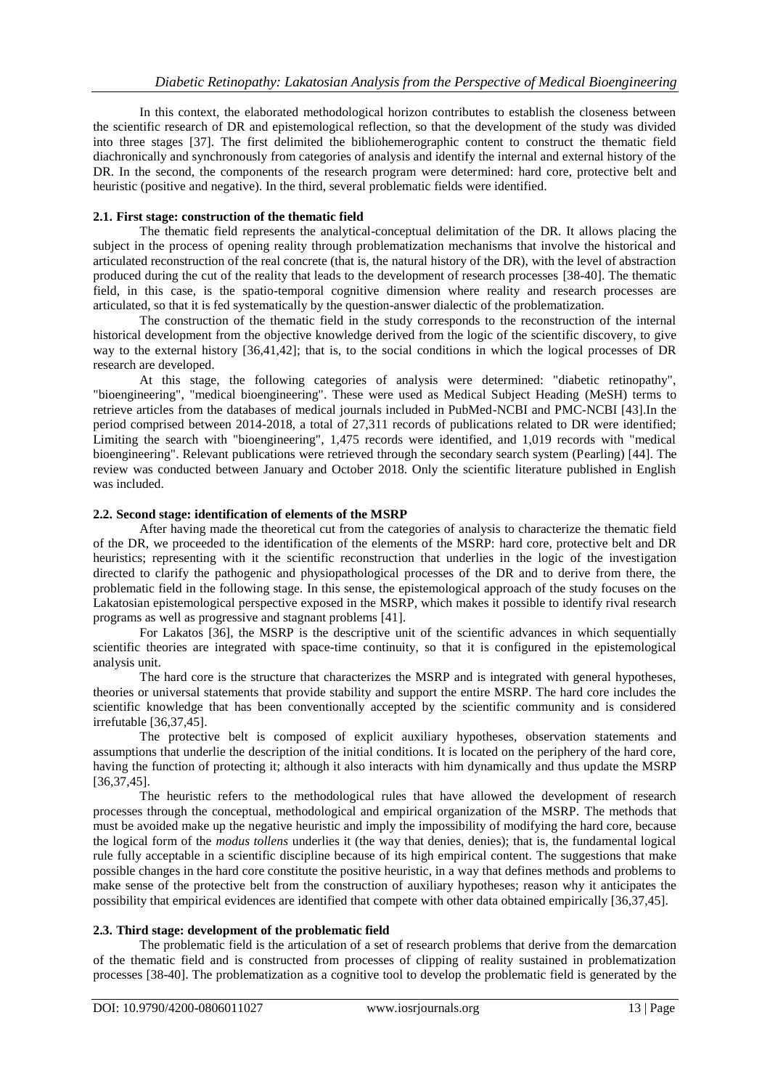In this context, the elaborated methodological horizon contributes to establish the closeness between the scientific research of DR and epistemological reflection, so that the development of the study was divided into three stages [37]. The first delimited the bibliohemerographic content to construct the thematic field diachronically and synchronously from categories of analysis and identify the internal and external history of the DR. In the second, the components of the research program were determined: hard core, protective belt and heuristic (positive and negative). In the third, several problematic fields were identified.

#### **2.1. First stage: construction of the thematic field**

The thematic field represents the analytical-conceptual delimitation of the DR. It allows placing the subject in the process of opening reality through problematization mechanisms that involve the historical and articulated reconstruction of the real concrete (that is, the natural history of the DR), with the level of abstraction produced during the cut of the reality that leads to the development of research processes [38-40]. The thematic field, in this case, is the spatio-temporal cognitive dimension where reality and research processes are articulated, so that it is fed systematically by the question-answer dialectic of the problematization.

The construction of the thematic field in the study corresponds to the reconstruction of the internal historical development from the objective knowledge derived from the logic of the scientific discovery, to give way to the external history [36,41,42]; that is, to the social conditions in which the logical processes of DR research are developed.

At this stage, the following categories of analysis were determined: "diabetic retinopathy", "bioengineering", "medical bioengineering". These were used as Medical Subject Heading (MeSH) terms to retrieve articles from the databases of medical journals included in PubMed-NCBI and PMC-NCBI [43].In the period comprised between 2014-2018, a total of 27,311 records of publications related to DR were identified; Limiting the search with "bioengineering", 1,475 records were identified, and 1,019 records with "medical bioengineering". Relevant publications were retrieved through the secondary search system (Pearling) [44]. The review was conducted between January and October 2018. Only the scientific literature published in English was included.

#### **2.2. Second stage: identification of elements of the MSRP**

After having made the theoretical cut from the categories of analysis to characterize the thematic field of the DR, we proceeded to the identification of the elements of the MSRP: hard core, protective belt and DR heuristics; representing with it the scientific reconstruction that underlies in the logic of the investigation directed to clarify the pathogenic and physiopathological processes of the DR and to derive from there, the problematic field in the following stage. In this sense, the epistemological approach of the study focuses on the Lakatosian epistemological perspective exposed in the MSRP, which makes it possible to identify rival research programs as well as progressive and stagnant problems [41].

For Lakatos [36], the MSRP is the descriptive unit of the scientific advances in which sequentially scientific theories are integrated with space-time continuity, so that it is configured in the epistemological analysis unit.

The hard core is the structure that characterizes the MSRP and is integrated with general hypotheses, theories or universal statements that provide stability and support the entire MSRP. The hard core includes the scientific knowledge that has been conventionally accepted by the scientific community and is considered irrefutable [36,37,45].

The protective belt is composed of explicit auxiliary hypotheses, observation statements and assumptions that underlie the description of the initial conditions. It is located on the periphery of the hard core, having the function of protecting it; although it also interacts with him dynamically and thus update the MSRP [36,37,45].

The heuristic refers to the methodological rules that have allowed the development of research processes through the conceptual, methodological and empirical organization of the MSRP. The methods that must be avoided make up the negative heuristic and imply the impossibility of modifying the hard core, because the logical form of the *modus tollens* underlies it (the way that denies, denies); that is, the fundamental logical rule fully acceptable in a scientific discipline because of its high empirical content. The suggestions that make possible changes in the hard core constitute the positive heuristic, in a way that defines methods and problems to make sense of the protective belt from the construction of auxiliary hypotheses; reason why it anticipates the possibility that empirical evidences are identified that compete with other data obtained empirically [36,37,45].

## **2.3. Third stage: development of the problematic field**

The problematic field is the articulation of a set of research problems that derive from the demarcation of the thematic field and is constructed from processes of clipping of reality sustained in problematization processes [38-40]. The problematization as a cognitive tool to develop the problematic field is generated by the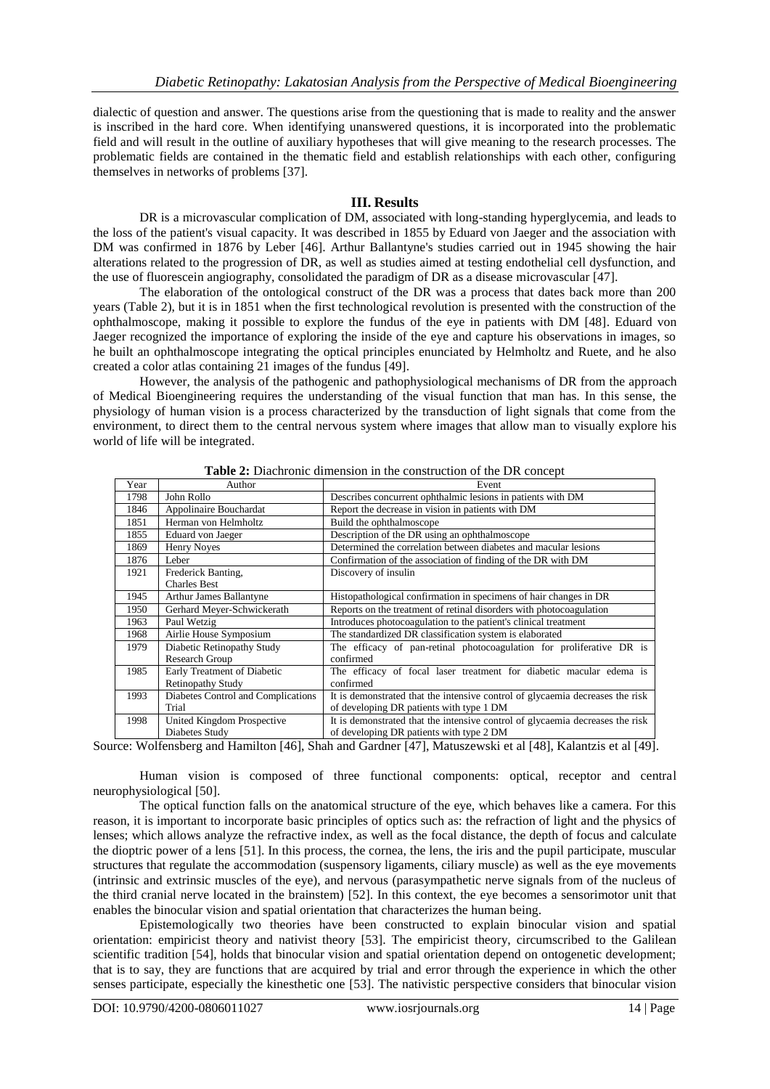dialectic of question and answer. The questions arise from the questioning that is made to reality and the answer is inscribed in the hard core. When identifying unanswered questions, it is incorporated into the problematic field and will result in the outline of auxiliary hypotheses that will give meaning to the research processes. The problematic fields are contained in the thematic field and establish relationships with each other, configuring themselves in networks of problems [37].

#### **III. Results**

DR is a microvascular complication of DM, associated with long-standing hyperglycemia, and leads to the loss of the patient's visual capacity. It was described in 1855 by Eduard von Jaeger and the association with DM was confirmed in 1876 by Leber [46]. Arthur Ballantyne's studies carried out in 1945 showing the hair alterations related to the progression of DR, as well as studies aimed at testing endothelial cell dysfunction, and the use of fluorescein angiography, consolidated the paradigm of DR as a disease microvascular [47].

The elaboration of the ontological construct of the DR was a process that dates back more than 200 years (Table 2), but it is in 1851 when the first technological revolution is presented with the construction of the ophthalmoscope, making it possible to explore the fundus of the eye in patients with DM [48]. Eduard von Jaeger recognized the importance of exploring the inside of the eye and capture his observations in images, so he built an ophthalmoscope integrating the optical principles enunciated by Helmholtz and Ruete, and he also created a color atlas containing 21 images of the fundus [49].

However, the analysis of the pathogenic and pathophysiological mechanisms of DR from the approach of Medical Bioengineering requires the understanding of the visual function that man has. In this sense, the physiology of human vision is a process characterized by the transduction of light signals that come from the environment, to direct them to the central nervous system where images that allow man to visually explore his world of life will be integrated.

| Year | Author                             | Event                                                                         |
|------|------------------------------------|-------------------------------------------------------------------------------|
| 1798 | John Rollo                         | Describes concurrent ophthalmic lesions in patients with DM                   |
| 1846 | Appolinaire Bouchardat             | Report the decrease in vision in patients with DM                             |
| 1851 | Herman von Helmholtz               | Build the ophthalmoscope                                                      |
| 1855 | Eduard von Jaeger                  | Description of the DR using an ophthalmoscope                                 |
| 1869 | Henry Noves                        | Determined the correlation between diabetes and macular lesions               |
| 1876 | Leber                              | Confirmation of the association of finding of the DR with DM                  |
| 1921 | Frederick Banting,                 | Discovery of insulin                                                          |
|      | <b>Charles Best</b>                |                                                                               |
| 1945 | <b>Arthur James Ballantyne</b>     | Histopathological confirmation in specimens of hair changes in DR             |
| 1950 | Gerhard Meyer-Schwickerath         | Reports on the treatment of retinal disorders with photocoagulation           |
| 1963 | Paul Wetzig                        | Introduces photocoagulation to the patient's clinical treatment               |
| 1968 | Airlie House Symposium             | The standardized DR classification system is elaborated                       |
| 1979 | Diabetic Retinopathy Study         | The efficacy of pan-retinal photocoagulation for proliferative DR is          |
|      | Research Group                     | confirmed                                                                     |
| 1985 | Early Treatment of Diabetic        | The efficacy of focal laser treatment for diabetic macular edema is           |
|      | <b>Retinopathy Study</b>           | confirmed                                                                     |
| 1993 | Diabetes Control and Complications | It is demonstrated that the intensive control of glycaemia decreases the risk |
|      | Trial                              | of developing DR patients with type 1 DM                                      |
| 1998 | United Kingdom Prospective         | It is demonstrated that the intensive control of glycaemia decreases the risk |
|      | Diabetes Study                     | of developing DR patients with type 2 DM                                      |

**Table 2:** Diachronic dimension in the construction of the DR concept

Source: Wolfensberg and Hamilton [46], Shah and Gardner [47], Matuszewski et al [48], Kalantzis et al [49].

Human vision is composed of three functional components: optical, receptor and central neurophysiological [50].

The optical function falls on the anatomical structure of the eye, which behaves like a camera. For this reason, it is important to incorporate basic principles of optics such as: the refraction of light and the physics of lenses; which allows analyze the refractive index, as well as the focal distance, the depth of focus and calculate the dioptric power of a lens [51]. In this process, the cornea, the lens, the iris and the pupil participate, muscular structures that regulate the accommodation (suspensory ligaments, ciliary muscle) as well as the eye movements (intrinsic and extrinsic muscles of the eye), and nervous (parasympathetic nerve signals from of the nucleus of the third cranial nerve located in the brainstem) [52]. In this context, the eye becomes a sensorimotor unit that enables the binocular vision and spatial orientation that characterizes the human being.

Epistemologically two theories have been constructed to explain binocular vision and spatial orientation: empiricist theory and nativist theory [53]. The empiricist theory, circumscribed to the Galilean scientific tradition [54], holds that binocular vision and spatial orientation depend on ontogenetic development; that is to say, they are functions that are acquired by trial and error through the experience in which the other senses participate, especially the kinesthetic one [53]. The nativistic perspective considers that binocular vision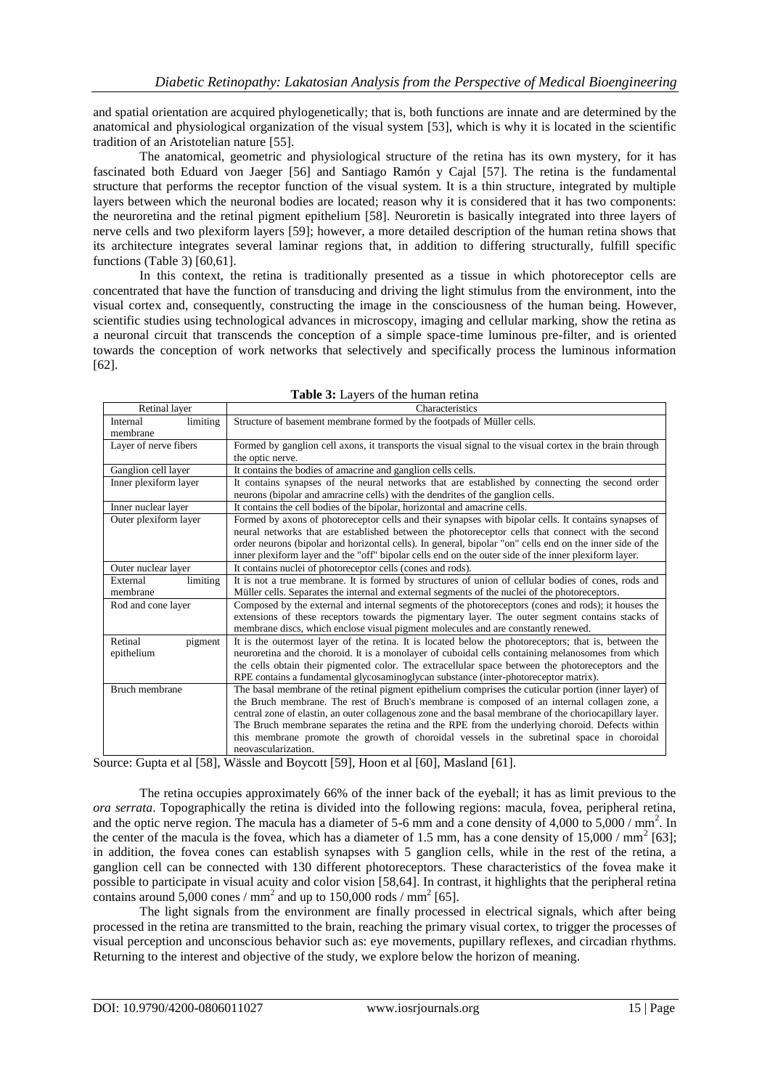and spatial orientation are acquired phylogenetically; that is, both functions are innate and are determined by the anatomical and physiological organization of the visual system [53], which is why it is located in the scientific tradition of an Aristotelian nature [55].

The anatomical, geometric and physiological structure of the retina has its own mystery, for it has fascinated both Eduard von Jaeger [56] and Santiago Ramón y Cajal [57]. The retina is the fundamental structure that performs the receptor function of the visual system. It is a thin structure, integrated by multiple layers between which the neuronal bodies are located; reason why it is considered that it has two components: the neuroretina and the retinal pigment epithelium [58]. Neuroretin is basically integrated into three layers of nerve cells and two plexiform layers [59]; however, a more detailed description of the human retina shows that its architecture integrates several laminar regions that, in addition to differing structurally, fulfill specific functions (Table 3) [60,61].

In this context, the retina is traditionally presented as a tissue in which photoreceptor cells are concentrated that have the function of transducing and driving the light stimulus from the environment, into the visual cortex and, consequently, constructing the image in the consciousness of the human being. However, scientific studies using technological advances in microscopy, imaging and cellular marking, show the retina as a neuronal circuit that transcends the conception of a simple space-time luminous pre-filter, and is oriented towards the conception of work networks that selectively and specifically process the luminous information [62].

| Retinal layer         | Characteristics                                                                                           |  |  |  |  |  |
|-----------------------|-----------------------------------------------------------------------------------------------------------|--|--|--|--|--|
| limiting<br>Internal  | Structure of basement membrane formed by the footpads of Müller cells.                                    |  |  |  |  |  |
| membrane              |                                                                                                           |  |  |  |  |  |
| Layer of nerve fibers | Formed by ganglion cell axons, it transports the visual signal to the visual cortex in the brain through  |  |  |  |  |  |
|                       | the optic nerve.                                                                                          |  |  |  |  |  |
| Ganglion cell layer   | It contains the bodies of amacrine and ganglion cells cells.                                              |  |  |  |  |  |
| Inner plexiform layer | It contains synapses of the neural networks that are established by connecting the second order           |  |  |  |  |  |
|                       | neurons (bipolar and amracrine cells) with the dendrites of the ganglion cells.                           |  |  |  |  |  |
| Inner nuclear layer   | It contains the cell bodies of the bipolar, horizontal and amacrine cells.                                |  |  |  |  |  |
| Outer plexiform layer | Formed by axons of photoreceptor cells and their synapses with bipolar cells. It contains synapses of     |  |  |  |  |  |
|                       | neural networks that are established between the photoreceptor cells that connect with the second         |  |  |  |  |  |
|                       | order neurons (bipolar and horizontal cells). In general, bipolar "on" cells end on the inner side of the |  |  |  |  |  |
|                       | inner plexiform layer and the "off" bipolar cells end on the outer side of the inner plexiform layer.     |  |  |  |  |  |
| Outer nuclear layer   | It contains nuclei of photoreceptor cells (cones and rods).                                               |  |  |  |  |  |
| limiting<br>External  | It is not a true membrane. It is formed by structures of union of cellular bodies of cones, rods and      |  |  |  |  |  |
| membrane              | Müller cells. Separates the internal and external segments of the nuclei of the photoreceptors.           |  |  |  |  |  |
| Rod and cone layer    | Composed by the external and internal segments of the photoreceptors (cones and rods); it houses the      |  |  |  |  |  |
|                       | extensions of these receptors towards the pigmentary layer. The outer segment contains stacks of          |  |  |  |  |  |
|                       | membrane discs, which enclose visual pigment molecules and are constantly renewed.                        |  |  |  |  |  |
| Retinal<br>pigment    | It is the outermost layer of the retina. It is located below the photoreceptors; that is, between the     |  |  |  |  |  |
| epithelium            | neuroretina and the choroid. It is a monolayer of cuboidal cells containing melanosomes from which        |  |  |  |  |  |
|                       | the cells obtain their pigmented color. The extracellular space between the photoreceptors and the        |  |  |  |  |  |
|                       | RPE contains a fundamental glycosaminoglycan substance (inter-photoreceptor matrix).                      |  |  |  |  |  |
| Bruch membrane        | The basal membrane of the retinal pigment epithelium comprises the cuticular portion (inner layer) of     |  |  |  |  |  |
|                       | the Bruch membrane. The rest of Bruch's membrane is composed of an internal collagen zone, a              |  |  |  |  |  |
|                       | central zone of elastin, an outer collagenous zone and the basal membrane of the choriocapillary layer.   |  |  |  |  |  |
|                       | The Bruch membrane separates the retina and the RPE from the underlying choroid. Defects within           |  |  |  |  |  |
|                       | this membrane promote the growth of choroidal vessels in the subretinal space in choroidal                |  |  |  |  |  |
|                       | neovascularization.                                                                                       |  |  |  |  |  |
|                       |                                                                                                           |  |  |  |  |  |

| Table 3: Layers of the human retina |  |  |  |  |  |  |
|-------------------------------------|--|--|--|--|--|--|
|-------------------------------------|--|--|--|--|--|--|

Source: Gupta et al [58], Wässle and Boycott [59], Hoon et al [60], Masland [61].

The retina occupies approximately 66% of the inner back of the eyeball; it has as limit previous to the *ora serrata*. Topographically the retina is divided into the following regions: macula, fovea, peripheral retina, and the optic nerve region. The macula has a diameter of 5-6 mm and a cone density of 4,000 to 5,000 / mm<sup>2</sup>. In the center of the macula is the fovea, which has a diameter of 1.5 mm, has a cone density of  $15,000 / \text{mm}^2$  [63]; in addition, the fovea cones can establish synapses with 5 ganglion cells, while in the rest of the retina, a ganglion cell can be connected with 130 different photoreceptors. These characteristics of the fovea make it possible to participate in visual acuity and color vision [58,64]. In contrast, it highlights that the peripheral retina contains around  $5,000$  cones / mm<sup>2</sup> and up to 150,000 rods / mm<sup>2</sup> [65].

The light signals from the environment are finally processed in electrical signals, which after being processed in the retina are transmitted to the brain, reaching the primary visual cortex, to trigger the processes of visual perception and unconscious behavior such as: eye movements, pupillary reflexes, and circadian rhythms. Returning to the interest and objective of the study, we explore below the horizon of meaning.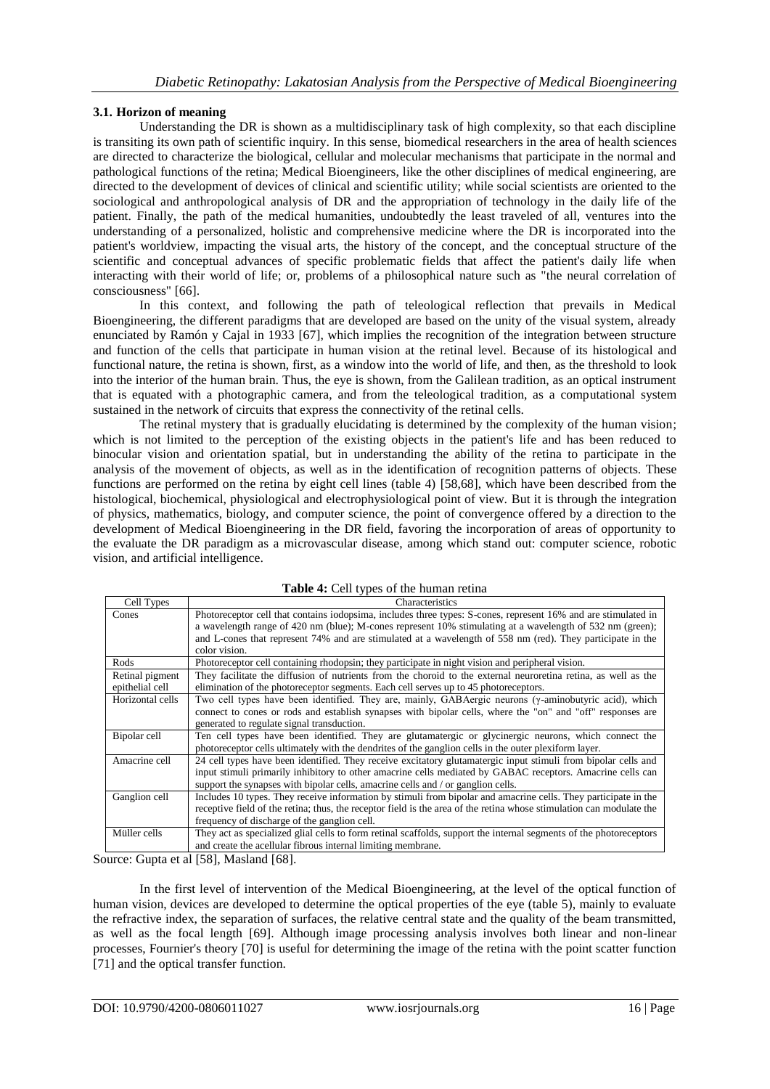## **3.1. Horizon of meaning**

Understanding the DR is shown as a multidisciplinary task of high complexity, so that each discipline is transiting its own path of scientific inquiry. In this sense, biomedical researchers in the area of health sciences are directed to characterize the biological, cellular and molecular mechanisms that participate in the normal and pathological functions of the retina; Medical Bioengineers, like the other disciplines of medical engineering, are directed to the development of devices of clinical and scientific utility; while social scientists are oriented to the sociological and anthropological analysis of DR and the appropriation of technology in the daily life of the patient. Finally, the path of the medical humanities, undoubtedly the least traveled of all, ventures into the understanding of a personalized, holistic and comprehensive medicine where the DR is incorporated into the patient's worldview, impacting the visual arts, the history of the concept, and the conceptual structure of the scientific and conceptual advances of specific problematic fields that affect the patient's daily life when interacting with their world of life; or, problems of a philosophical nature such as "the neural correlation of consciousness" [66].

In this context, and following the path of teleological reflection that prevails in Medical Bioengineering, the different paradigms that are developed are based on the unity of the visual system, already enunciated by Ramón y Cajal in 1933 [67], which implies the recognition of the integration between structure and function of the cells that participate in human vision at the retinal level. Because of its histological and functional nature, the retina is shown, first, as a window into the world of life, and then, as the threshold to look into the interior of the human brain. Thus, the eye is shown, from the Galilean tradition, as an optical instrument that is equated with a photographic camera, and from the teleological tradition, as a computational system sustained in the network of circuits that express the connectivity of the retinal cells.

The retinal mystery that is gradually elucidating is determined by the complexity of the human vision; which is not limited to the perception of the existing objects in the patient's life and has been reduced to binocular vision and orientation spatial, but in understanding the ability of the retina to participate in the analysis of the movement of objects, as well as in the identification of recognition patterns of objects. These functions are performed on the retina by eight cell lines (table 4) [58,68], which have been described from the histological, biochemical, physiological and electrophysiological point of view. But it is through the integration of physics, mathematics, biology, and computer science, the point of convergence offered by a direction to the development of Medical Bioengineering in the DR field, favoring the incorporation of areas of opportunity to the evaluate the DR paradigm as a microvascular disease, among which stand out: computer science, robotic vision, and artificial intelligence.

| Cell Types       | Characteristics                                                                                                      |
|------------------|----------------------------------------------------------------------------------------------------------------------|
| Cones            | Photoreceptor cell that contains iodopsima, includes three types: S-cones, represent 16% and are stimulated in       |
|                  | a wavelength range of 420 nm (blue); M-cones represent 10% stimulating at a wavelength of 532 nm (green);            |
|                  | and L-cones that represent 74% and are stimulated at a wavelength of 558 nm (red). They participate in the           |
|                  | color vision.                                                                                                        |
| Rods             | Photoreceptor cell containing rhodopsin; they participate in night vision and peripheral vision.                     |
| Retinal pigment  | They facilitate the diffusion of nutrients from the choroid to the external neuroretina retina, as well as the       |
| epithelial cell  | elimination of the photoreceptor segments. Each cell serves up to 45 photoreceptors.                                 |
| Horizontal cells | Two cell types have been identified. They are, mainly, GABAergic neurons (y-aminobutyric acid), which                |
|                  | connect to cones or rods and establish synapses with bipolar cells, where the "on" and "off" responses are           |
|                  | generated to regulate signal transduction.                                                                           |
| Bipolar cell     | Ten cell types have been identified. They are glutamatergic or glycinergic neurons, which connect the                |
|                  | photoreceptor cells ultimately with the dendrites of the ganglion cells in the outer plexiform layer.                |
| Amacrine cell    | 24 cell types have been identified. They receive excitatory glutamatergic input stimuli from bipolar cells and       |
|                  | input stimuli primarily inhibitory to other amacrine cells mediated by GABAC receptors. Amacrine cells can           |
|                  | support the synapses with bipolar cells, amacrine cells and / or ganglion cells.                                     |
| Ganglion cell    | Includes 10 types. They receive information by stimuli from bipolar and amacrine cells. They participate in the      |
|                  | receptive field of the retina; thus, the receptor field is the area of the retina whose stimulation can modulate the |
|                  | frequency of discharge of the ganglion cell.                                                                         |
| Müller cells     | They act as specialized glial cells to form retinal scaffolds, support the internal segments of the photoreceptors   |
|                  | and create the acellular fibrous internal limiting membrane.                                                         |

| Table 4: Cell types of the human retina |  |  |  |
|-----------------------------------------|--|--|--|
|                                         |  |  |  |

Source: Gupta et al [58], Masland [68].

In the first level of intervention of the Medical Bioengineering, at the level of the optical function of human vision, devices are developed to determine the optical properties of the eye (table 5), mainly to evaluate the refractive index, the separation of surfaces, the relative central state and the quality of the beam transmitted, as well as the focal length [69]. Although image processing analysis involves both linear and non-linear processes, Fournier's theory [70] is useful for determining the image of the retina with the point scatter function [71] and the optical transfer function.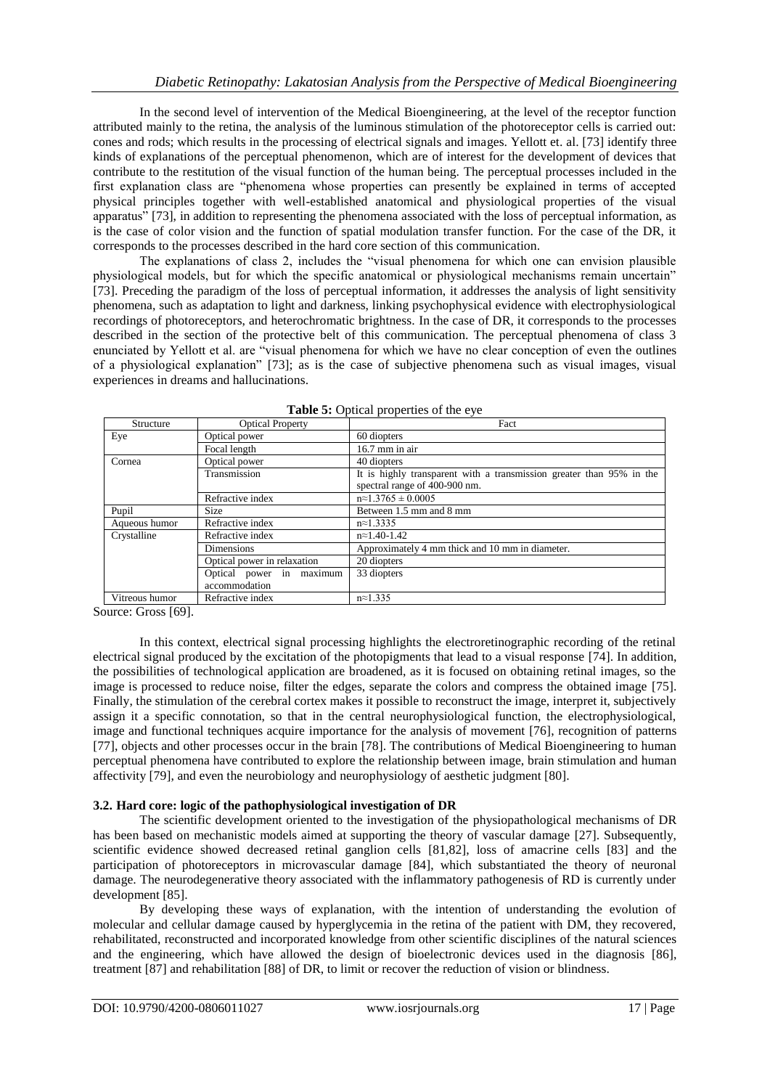In the second level of intervention of the Medical Bioengineering, at the level of the receptor function attributed mainly to the retina, the analysis of the luminous stimulation of the photoreceptor cells is carried out: cones and rods; which results in the processing of electrical signals and images. Yellott et. al. [73] identify three kinds of explanations of the perceptual phenomenon, which are of interest for the development of devices that contribute to the restitution of the visual function of the human being. The perceptual processes included in the first explanation class are "phenomena whose properties can presently be explained in terms of accepted physical principles together with well-established anatomical and physiological properties of the visual apparatus" [73], in addition to representing the phenomena associated with the loss of perceptual information, as is the case of color vision and the function of spatial modulation transfer function. For the case of the DR, it corresponds to the processes described in the hard core section of this communication.

The explanations of class 2, includes the "visual phenomena for which one can envision plausible physiological models, but for which the specific anatomical or physiological mechanisms remain uncertain" [73]. Preceding the paradigm of the loss of perceptual information, it addresses the analysis of light sensitivity phenomena, such as adaptation to light and darkness, linking psychophysical evidence with electrophysiological recordings of photoreceptors, and heterochromatic brightness. In the case of DR, it corresponds to the processes described in the section of the protective belt of this communication. The perceptual phenomena of class 3 enunciated by Yellott et al. are "visual phenomena for which we have no clear conception of even the outlines of a physiological explanation" [73]; as is the case of subjective phenomena such as visual images, visual experiences in dreams and hallucinations.

| Structure      | <b>Optical Property</b>     | Fact                                                                 |  |  |  |  |
|----------------|-----------------------------|----------------------------------------------------------------------|--|--|--|--|
| Eye            | Optical power               | 60 diopters                                                          |  |  |  |  |
|                | Focal length                | $16.7$ mm in air                                                     |  |  |  |  |
| Cornea         | Optical power               | 40 diopters                                                          |  |  |  |  |
|                | Transmission                | It is highly transparent with a transmission greater than 95% in the |  |  |  |  |
|                |                             | spectral range of 400-900 nm.                                        |  |  |  |  |
|                | Refractive index            | $n \approx 1.3765 \pm 0.0005$                                        |  |  |  |  |
| Pupil          | <b>Size</b>                 | Between 1.5 mm and 8 mm                                              |  |  |  |  |
| Aqueous humor  | Refractive index            | $n \approx 1.3335$                                                   |  |  |  |  |
| Crystalline    | Refractive index            | $n \approx 1.40 - 1.42$                                              |  |  |  |  |
|                | <b>Dimensions</b>           | Approximately 4 mm thick and 10 mm in diameter.                      |  |  |  |  |
|                | Optical power in relaxation | 20 diopters                                                          |  |  |  |  |
|                | Optical power in maximum    | 33 diopters                                                          |  |  |  |  |
|                | accommodation               |                                                                      |  |  |  |  |
| Vitreous humor | Refractive index            | $n \approx 1.335$                                                    |  |  |  |  |

|  | Table 5: Optical properties of the eye |
|--|----------------------------------------|
|--|----------------------------------------|

Source: Gross [69].

In this context, electrical signal processing highlights the electroretinographic recording of the retinal electrical signal produced by the excitation of the photopigments that lead to a visual response [74]. In addition, the possibilities of technological application are broadened, as it is focused on obtaining retinal images, so the image is processed to reduce noise, filter the edges, separate the colors and compress the obtained image [75]. Finally, the stimulation of the cerebral cortex makes it possible to reconstruct the image, interpret it, subjectively assign it a specific connotation, so that in the central neurophysiological function, the electrophysiological, image and functional techniques acquire importance for the analysis of movement [76], recognition of patterns [77], objects and other processes occur in the brain [78]. The contributions of Medical Bioengineering to human perceptual phenomena have contributed to explore the relationship between image, brain stimulation and human affectivity [79], and even the neurobiology and neurophysiology of aesthetic judgment [80].

## **3.2. Hard core: logic of the pathophysiological investigation of DR**

The scientific development oriented to the investigation of the physiopathological mechanisms of DR has been based on mechanistic models aimed at supporting the theory of vascular damage [27]. Subsequently, scientific evidence showed decreased retinal ganglion cells [81,82], loss of amacrine cells [83] and the participation of photoreceptors in microvascular damage [84], which substantiated the theory of neuronal damage. The neurodegenerative theory associated with the inflammatory pathogenesis of RD is currently under development [85].

By developing these ways of explanation, with the intention of understanding the evolution of molecular and cellular damage caused by hyperglycemia in the retina of the patient with DM, they recovered, rehabilitated, reconstructed and incorporated knowledge from other scientific disciplines of the natural sciences and the engineering, which have allowed the design of bioelectronic devices used in the diagnosis [86], treatment [87] and rehabilitation [88] of DR, to limit or recover the reduction of vision or blindness.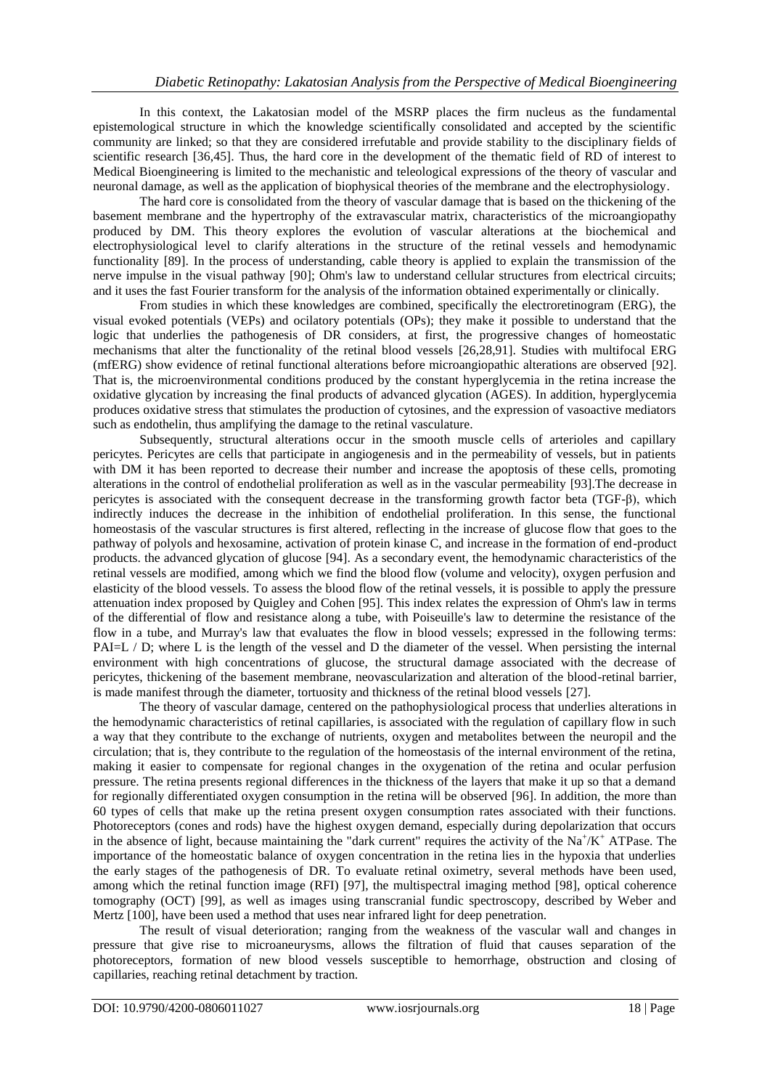In this context, the Lakatosian model of the MSRP places the firm nucleus as the fundamental epistemological structure in which the knowledge scientifically consolidated and accepted by the scientific community are linked; so that they are considered irrefutable and provide stability to the disciplinary fields of scientific research [36,45]. Thus, the hard core in the development of the thematic field of RD of interest to Medical Bioengineering is limited to the mechanistic and teleological expressions of the theory of vascular and neuronal damage, as well as the application of biophysical theories of the membrane and the electrophysiology.

The hard core is consolidated from the theory of vascular damage that is based on the thickening of the basement membrane and the hypertrophy of the extravascular matrix, characteristics of the microangiopathy produced by DM. This theory explores the evolution of vascular alterations at the biochemical and electrophysiological level to clarify alterations in the structure of the retinal vessels and hemodynamic functionality [89]. In the process of understanding, cable theory is applied to explain the transmission of the nerve impulse in the visual pathway [90]; Ohm's law to understand cellular structures from electrical circuits; and it uses the fast Fourier transform for the analysis of the information obtained experimentally or clinically.

From studies in which these knowledges are combined, specifically the electroretinogram (ERG), the visual evoked potentials (VEPs) and ocilatory potentials (OPs); they make it possible to understand that the logic that underlies the pathogenesis of DR considers, at first, the progressive changes of homeostatic mechanisms that alter the functionality of the retinal blood vessels [26,28,91]. Studies with multifocal ERG (mfERG) show evidence of retinal functional alterations before microangiopathic alterations are observed [92]. That is, the microenvironmental conditions produced by the constant hyperglycemia in the retina increase the oxidative glycation by increasing the final products of advanced glycation (AGES). In addition, hyperglycemia produces oxidative stress that stimulates the production of cytosines, and the expression of vasoactive mediators such as endothelin, thus amplifying the damage to the retinal vasculature.

Subsequently, structural alterations occur in the smooth muscle cells of arterioles and capillary pericytes. Pericytes are cells that participate in angiogenesis and in the permeability of vessels, but in patients with DM it has been reported to decrease their number and increase the apoptosis of these cells, promoting alterations in the control of endothelial proliferation as well as in the vascular permeability [93].The decrease in pericytes is associated with the consequent decrease in the transforming growth factor beta (TGF-β), which indirectly induces the decrease in the inhibition of endothelial proliferation. In this sense, the functional homeostasis of the vascular structures is first altered, reflecting in the increase of glucose flow that goes to the pathway of polyols and hexosamine, activation of protein kinase C, and increase in the formation of end-product products. the advanced glycation of glucose [94]. As a secondary event, the hemodynamic characteristics of the retinal vessels are modified, among which we find the blood flow (volume and velocity), oxygen perfusion and elasticity of the blood vessels. To assess the blood flow of the retinal vessels, it is possible to apply the pressure attenuation index proposed by Quigley and Cohen [95]. This index relates the expression of Ohm's law in terms of the differential of flow and resistance along a tube, with Poiseuille's law to determine the resistance of the flow in a tube, and Murray's law that evaluates the flow in blood vessels; expressed in the following terms: PAI=L / D; where L is the length of the vessel and D the diameter of the vessel. When persisting the internal environment with high concentrations of glucose, the structural damage associated with the decrease of pericytes, thickening of the basement membrane, neovascularization and alteration of the blood-retinal barrier, is made manifest through the diameter, tortuosity and thickness of the retinal blood vessels [27].

The theory of vascular damage, centered on the pathophysiological process that underlies alterations in the hemodynamic characteristics of retinal capillaries, is associated with the regulation of capillary flow in such a way that they contribute to the exchange of nutrients, oxygen and metabolites between the neuropil and the circulation; that is, they contribute to the regulation of the homeostasis of the internal environment of the retina, making it easier to compensate for regional changes in the oxygenation of the retina and ocular perfusion pressure. The retina presents regional differences in the thickness of the layers that make it up so that a demand for regionally differentiated oxygen consumption in the retina will be observed [96]. In addition, the more than 60 types of cells that make up the retina present oxygen consumption rates associated with their functions. Photoreceptors (cones and rods) have the highest oxygen demand, especially during depolarization that occurs in the absence of light, because maintaining the "dark current" requires the activity of the  $Na^+/K^+$  ATPase. The importance of the homeostatic balance of oxygen concentration in the retina lies in the hypoxia that underlies the early stages of the pathogenesis of DR. To evaluate retinal oximetry, several methods have been used, among which the retinal function image (RFI) [97], the multispectral imaging method [98], optical coherence tomography (OCT) [99], as well as images using transcranial fundic spectroscopy, described by Weber and Mertz [100], have been used a method that uses near infrared light for deep penetration.

The result of visual deterioration; ranging from the weakness of the vascular wall and changes in pressure that give rise to microaneurysms, allows the filtration of fluid that causes separation of the photoreceptors, formation of new blood vessels susceptible to hemorrhage, obstruction and closing of capillaries, reaching retinal detachment by traction.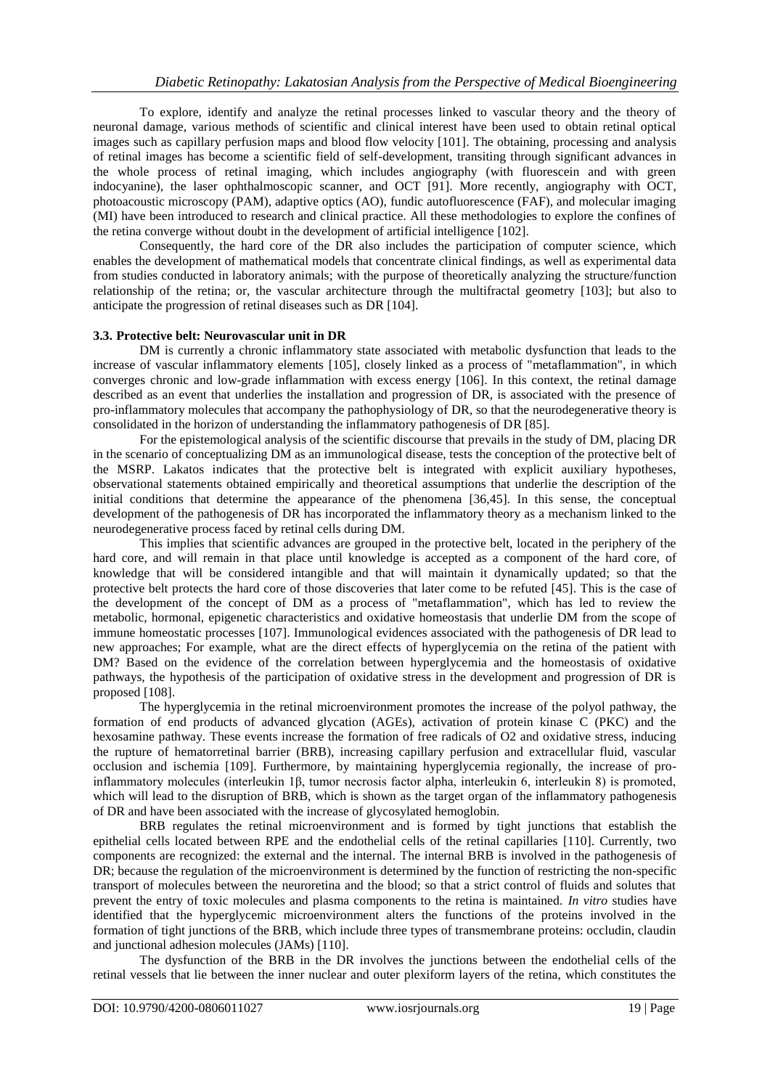To explore, identify and analyze the retinal processes linked to vascular theory and the theory of neuronal damage, various methods of scientific and clinical interest have been used to obtain retinal optical images such as capillary perfusion maps and blood flow velocity [101]. The obtaining, processing and analysis of retinal images has become a scientific field of self-development, transiting through significant advances in the whole process of retinal imaging, which includes angiography (with fluorescein and with green indocyanine), the laser ophthalmoscopic scanner, and OCT [91]. More recently, angiography with OCT, photoacoustic microscopy (PAM), adaptive optics (AO), fundic autofluorescence (FAF), and molecular imaging (MI) have been introduced to research and clinical practice. All these methodologies to explore the confines of the retina converge without doubt in the development of artificial intelligence [102].

Consequently, the hard core of the DR also includes the participation of computer science, which enables the development of mathematical models that concentrate clinical findings, as well as experimental data from studies conducted in laboratory animals; with the purpose of theoretically analyzing the structure/function relationship of the retina; or, the vascular architecture through the multifractal geometry [103]; but also to anticipate the progression of retinal diseases such as DR [104].

## **3.3. Protective belt: Neurovascular unit in DR**

DM is currently a chronic inflammatory state associated with metabolic dysfunction that leads to the increase of vascular inflammatory elements [105], closely linked as a process of "metaflammation", in which converges chronic and low-grade inflammation with excess energy [106]. In this context, the retinal damage described as an event that underlies the installation and progression of DR, is associated with the presence of pro-inflammatory molecules that accompany the pathophysiology of DR, so that the neurodegenerative theory is consolidated in the horizon of understanding the inflammatory pathogenesis of DR [85].

For the epistemological analysis of the scientific discourse that prevails in the study of DM, placing DR in the scenario of conceptualizing DM as an immunological disease, tests the conception of the protective belt of the MSRP. Lakatos indicates that the protective belt is integrated with explicit auxiliary hypotheses, observational statements obtained empirically and theoretical assumptions that underlie the description of the initial conditions that determine the appearance of the phenomena [36,45]. In this sense, the conceptual development of the pathogenesis of DR has incorporated the inflammatory theory as a mechanism linked to the neurodegenerative process faced by retinal cells during DM.

This implies that scientific advances are grouped in the protective belt, located in the periphery of the hard core, and will remain in that place until knowledge is accepted as a component of the hard core, of knowledge that will be considered intangible and that will maintain it dynamically updated; so that the protective belt protects the hard core of those discoveries that later come to be refuted [45]. This is the case of the development of the concept of DM as a process of "metaflammation", which has led to review the metabolic, hormonal, epigenetic characteristics and oxidative homeostasis that underlie DM from the scope of immune homeostatic processes [107]. Immunological evidences associated with the pathogenesis of DR lead to new approaches; For example, what are the direct effects of hyperglycemia on the retina of the patient with DM? Based on the evidence of the correlation between hyperglycemia and the homeostasis of oxidative pathways, the hypothesis of the participation of oxidative stress in the development and progression of DR is proposed [108].

The hyperglycemia in the retinal microenvironment promotes the increase of the polyol pathway, the formation of end products of advanced glycation (AGEs), activation of protein kinase C (PKC) and the hexosamine pathway. These events increase the formation of free radicals of O2 and oxidative stress, inducing the rupture of hematorretinal barrier (BRB), increasing capillary perfusion and extracellular fluid, vascular occlusion and ischemia [109]. Furthermore, by maintaining hyperglycemia regionally, the increase of proinflammatory molecules (interleukin 1β, tumor necrosis factor alpha, interleukin 6, interleukin 8) is promoted, which will lead to the disruption of BRB, which is shown as the target organ of the inflammatory pathogenesis of DR and have been associated with the increase of glycosylated hemoglobin.

BRB regulates the retinal microenvironment and is formed by tight junctions that establish the epithelial cells located between RPE and the endothelial cells of the retinal capillaries [110]. Currently, two components are recognized: the external and the internal. The internal BRB is involved in the pathogenesis of DR; because the regulation of the microenvironment is determined by the function of restricting the non-specific transport of molecules between the neuroretina and the blood; so that a strict control of fluids and solutes that prevent the entry of toxic molecules and plasma components to the retina is maintained. *In vitro* studies have identified that the hyperglycemic microenvironment alters the functions of the proteins involved in the formation of tight junctions of the BRB, which include three types of transmembrane proteins: occludin, claudin and junctional adhesion molecules (JAMs) [110].

The dysfunction of the BRB in the DR involves the junctions between the endothelial cells of the retinal vessels that lie between the inner nuclear and outer plexiform layers of the retina, which constitutes the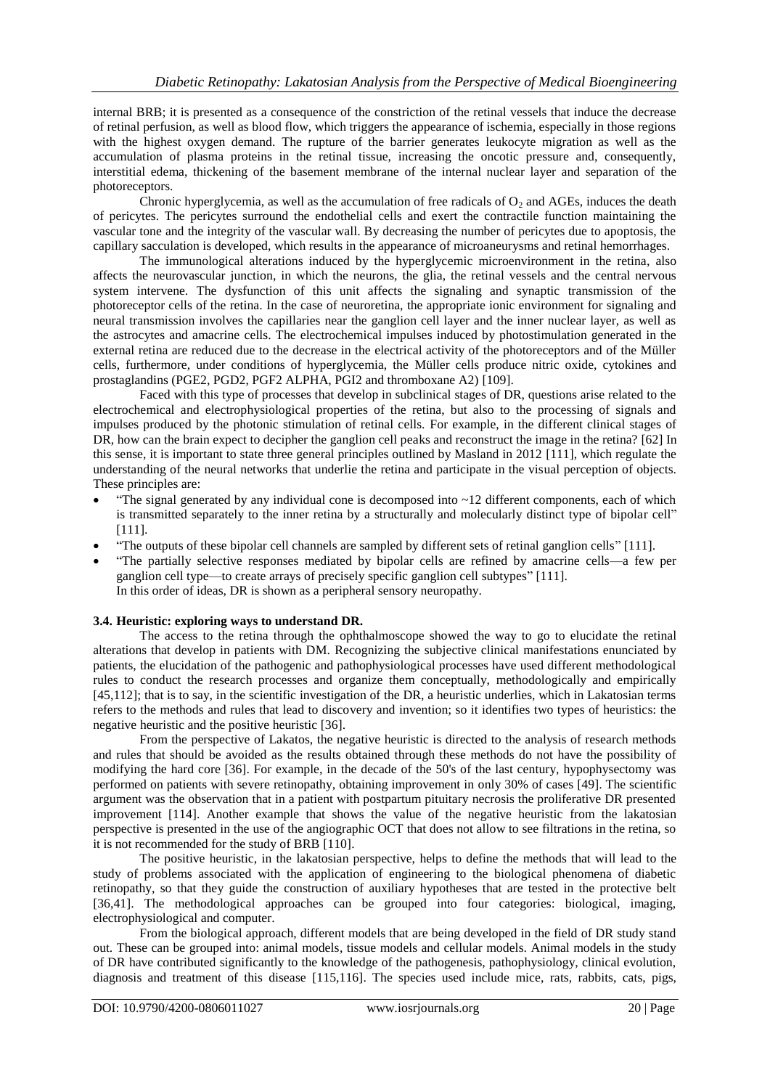internal BRB; it is presented as a consequence of the constriction of the retinal vessels that induce the decrease of retinal perfusion, as well as blood flow, which triggers the appearance of ischemia, especially in those regions with the highest oxygen demand. The rupture of the barrier generates leukocyte migration as well as the accumulation of plasma proteins in the retinal tissue, increasing the oncotic pressure and, consequently, interstitial edema, thickening of the basement membrane of the internal nuclear layer and separation of the photoreceptors.

Chronic hyperglycemia, as well as the accumulation of free radicals of  $O_2$  and AGEs, induces the death of pericytes. The pericytes surround the endothelial cells and exert the contractile function maintaining the vascular tone and the integrity of the vascular wall. By decreasing the number of pericytes due to apoptosis, the capillary sacculation is developed, which results in the appearance of microaneurysms and retinal hemorrhages.

The immunological alterations induced by the hyperglycemic microenvironment in the retina, also affects the neurovascular junction, in which the neurons, the glia, the retinal vessels and the central nervous system intervene. The dysfunction of this unit affects the signaling and synaptic transmission of the photoreceptor cells of the retina. In the case of neuroretina, the appropriate ionic environment for signaling and neural transmission involves the capillaries near the ganglion cell layer and the inner nuclear layer, as well as the astrocytes and amacrine cells. The electrochemical impulses induced by photostimulation generated in the external retina are reduced due to the decrease in the electrical activity of the photoreceptors and of the Müller cells, furthermore, under conditions of hyperglycemia, the Müller cells produce nitric oxide, cytokines and prostaglandins (PGE2, PGD2, PGF2 ALPHA, PGI2 and thromboxane A2) [109].

Faced with this type of processes that develop in subclinical stages of DR, questions arise related to the electrochemical and electrophysiological properties of the retina, but also to the processing of signals and impulses produced by the photonic stimulation of retinal cells. For example, in the different clinical stages of DR, how can the brain expect to decipher the ganglion cell peaks and reconstruct the image in the retina? [62] In this sense, it is important to state three general principles outlined by Masland in 2012 [111], which regulate the understanding of the neural networks that underlie the retina and participate in the visual perception of objects. These principles are:

- "The signal generated by any individual cone is decomposed into  $\sim$ 12 different components, each of which is transmitted separately to the inner retina by a structurally and molecularly distinct type of bipolar cell" [111].
- ―The outputs of these bipolar cell channels are sampled by different sets of retinal ganglion cells‖ [111].
- ―The partially selective responses mediated by bipolar cells are refined by amacrine cells—a few per ganglion cell type—to create arrays of precisely specific ganglion cell subtypes" [111]. In this order of ideas, DR is shown as a peripheral sensory neuropathy.

#### **3.4. Heuristic: exploring ways to understand DR.**

The access to the retina through the ophthalmoscope showed the way to go to elucidate the retinal alterations that develop in patients with DM. Recognizing the subjective clinical manifestations enunciated by patients, the elucidation of the pathogenic and pathophysiological processes have used different methodological rules to conduct the research processes and organize them conceptually, methodologically and empirically [45,112]; that is to say, in the scientific investigation of the DR, a heuristic underlies, which in Lakatosian terms refers to the methods and rules that lead to discovery and invention; so it identifies two types of heuristics: the negative heuristic and the positive heuristic [36].

From the perspective of Lakatos, the negative heuristic is directed to the analysis of research methods and rules that should be avoided as the results obtained through these methods do not have the possibility of modifying the hard core [36]. For example, in the decade of the 50's of the last century, hypophysectomy was performed on patients with severe retinopathy, obtaining improvement in only 30% of cases [49]. The scientific argument was the observation that in a patient with postpartum pituitary necrosis the proliferative DR presented improvement [114]. Another example that shows the value of the negative heuristic from the lakatosian perspective is presented in the use of the angiographic OCT that does not allow to see filtrations in the retina, so it is not recommended for the study of BRB [110].

The positive heuristic, in the lakatosian perspective, helps to define the methods that will lead to the study of problems associated with the application of engineering to the biological phenomena of diabetic retinopathy, so that they guide the construction of auxiliary hypotheses that are tested in the protective belt [36,41]. The methodological approaches can be grouped into four categories: biological, imaging, electrophysiological and computer.

From the biological approach, different models that are being developed in the field of DR study stand out. These can be grouped into: animal models, tissue models and cellular models. Animal models in the study of DR have contributed significantly to the knowledge of the pathogenesis, pathophysiology, clinical evolution, diagnosis and treatment of this disease [115,116]. The species used include mice, rats, rabbits, cats, pigs,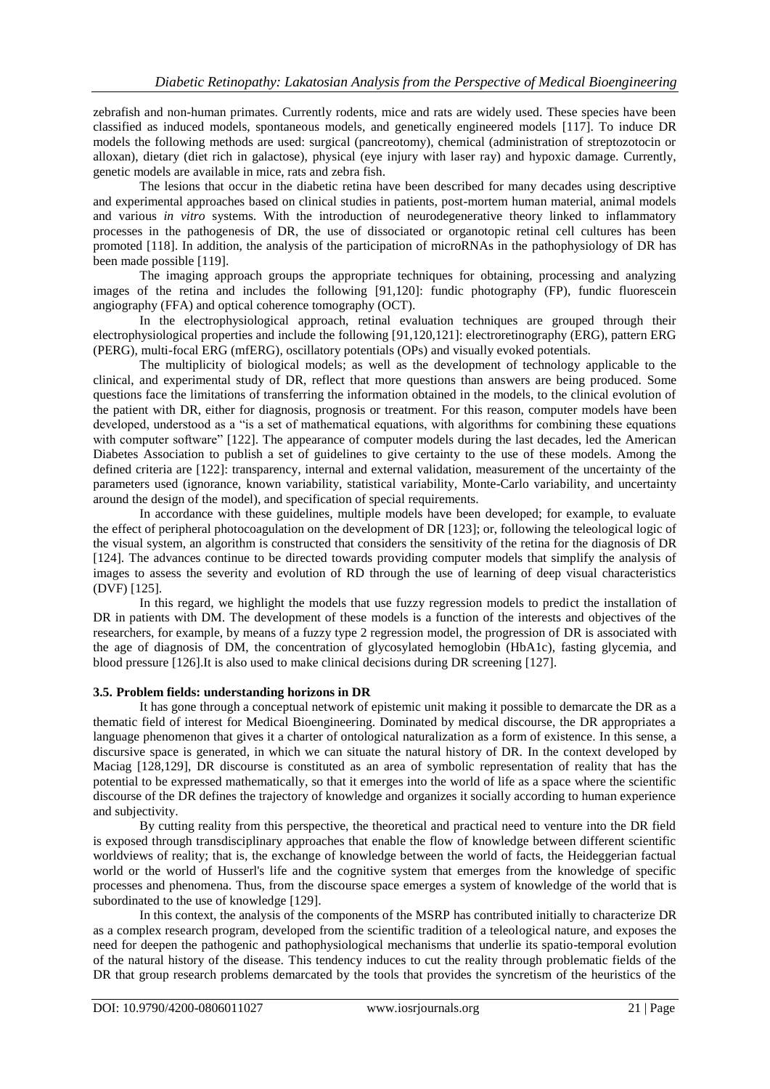zebrafish and non-human primates. Currently rodents, mice and rats are widely used. These species have been classified as induced models, spontaneous models, and genetically engineered models [117]. To induce DR models the following methods are used: surgical (pancreotomy), chemical (administration of streptozotocin or alloxan), dietary (diet rich in galactose), physical (eye injury with laser ray) and hypoxic damage. Currently, genetic models are available in mice, rats and zebra fish.

The lesions that occur in the diabetic retina have been described for many decades using descriptive and experimental approaches based on clinical studies in patients, post-mortem human material, animal models and various *in vitro* systems. With the introduction of neurodegenerative theory linked to inflammatory processes in the pathogenesis of DR, the use of dissociated or organotopic retinal cell cultures has been promoted [118]. In addition, the analysis of the participation of microRNAs in the pathophysiology of DR has been made possible [119].

The imaging approach groups the appropriate techniques for obtaining, processing and analyzing images of the retina and includes the following [91,120]: fundic photography (FP), fundic fluorescein angiography (FFA) and optical coherence tomography (OCT).

In the electrophysiological approach, retinal evaluation techniques are grouped through their electrophysiological properties and include the following [91,120,121]: electroretinography (ERG), pattern ERG (PERG), multi-focal ERG (mfERG), oscillatory potentials (OPs) and visually evoked potentials.

The multiplicity of biological models; as well as the development of technology applicable to the clinical, and experimental study of DR, reflect that more questions than answers are being produced. Some questions face the limitations of transferring the information obtained in the models, to the clinical evolution of the patient with DR, either for diagnosis, prognosis or treatment. For this reason, computer models have been developed, understood as a "is a set of mathematical equations, with algorithms for combining these equations with computer software" [122]. The appearance of computer models during the last decades, led the American Diabetes Association to publish a set of guidelines to give certainty to the use of these models. Among the defined criteria are [122]: transparency, internal and external validation, measurement of the uncertainty of the parameters used (ignorance, known variability, statistical variability, Monte-Carlo variability, and uncertainty around the design of the model), and specification of special requirements.

In accordance with these guidelines, multiple models have been developed; for example, to evaluate the effect of peripheral photocoagulation on the development of DR [123]; or, following the teleological logic of the visual system, an algorithm is constructed that considers the sensitivity of the retina for the diagnosis of DR [124]. The advances continue to be directed towards providing computer models that simplify the analysis of images to assess the severity and evolution of RD through the use of learning of deep visual characteristics (DVF) [125].

In this regard, we highlight the models that use fuzzy regression models to predict the installation of DR in patients with DM. The development of these models is a function of the interests and objectives of the researchers, for example, by means of a fuzzy type 2 regression model, the progression of DR is associated with the age of diagnosis of DM, the concentration of glycosylated hemoglobin (HbA1c), fasting glycemia, and blood pressure [126].It is also used to make clinical decisions during DR screening [127].

#### **3.5. Problem fields: understanding horizons in DR**

It has gone through a conceptual network of epistemic unit making it possible to demarcate the DR as a thematic field of interest for Medical Bioengineering. Dominated by medical discourse, the DR appropriates a language phenomenon that gives it a charter of ontological naturalization as a form of existence. In this sense, a discursive space is generated, in which we can situate the natural history of DR. In the context developed by Maciag [128,129], DR discourse is constituted as an area of symbolic representation of reality that has the potential to be expressed mathematically, so that it emerges into the world of life as a space where the scientific discourse of the DR defines the trajectory of knowledge and organizes it socially according to human experience and subjectivity.

By cutting reality from this perspective, the theoretical and practical need to venture into the DR field is exposed through transdisciplinary approaches that enable the flow of knowledge between different scientific worldviews of reality; that is, the exchange of knowledge between the world of facts, the Heideggerian factual world or the world of Husserl's life and the cognitive system that emerges from the knowledge of specific processes and phenomena. Thus, from the discourse space emerges a system of knowledge of the world that is subordinated to the use of knowledge [129].

In this context, the analysis of the components of the MSRP has contributed initially to characterize DR as a complex research program, developed from the scientific tradition of a teleological nature, and exposes the need for deepen the pathogenic and pathophysiological mechanisms that underlie its spatio-temporal evolution of the natural history of the disease. This tendency induces to cut the reality through problematic fields of the DR that group research problems demarcated by the tools that provides the syncretism of the heuristics of the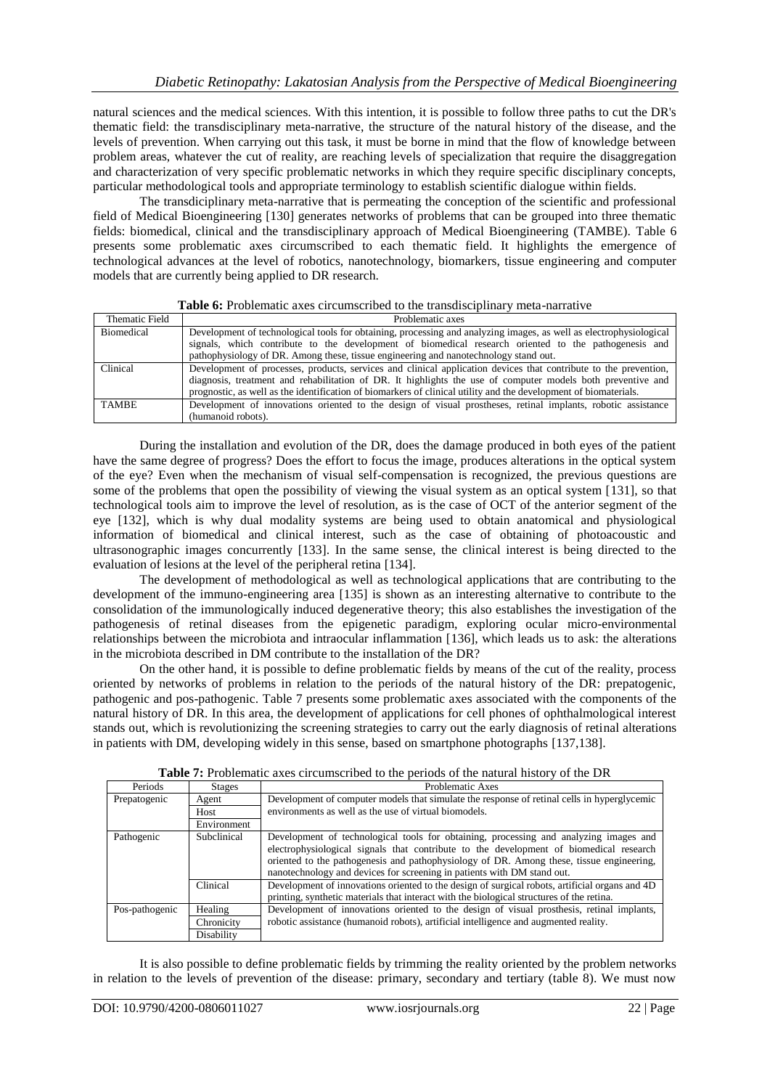natural sciences and the medical sciences. With this intention, it is possible to follow three paths to cut the DR's thematic field: the transdisciplinary meta-narrative, the structure of the natural history of the disease, and the levels of prevention. When carrying out this task, it must be borne in mind that the flow of knowledge between problem areas, whatever the cut of reality, are reaching levels of specialization that require the disaggregation and characterization of very specific problematic networks in which they require specific disciplinary concepts, particular methodological tools and appropriate terminology to establish scientific dialogue within fields.

The transdiciplinary meta-narrative that is permeating the conception of the scientific and professional field of Medical Bioengineering [130] generates networks of problems that can be grouped into three thematic fields: biomedical, clinical and the transdisciplinary approach of Medical Bioengineering (TAMBE). Table 6 presents some problematic axes circumscribed to each thematic field. It highlights the emergence of technological advances at the level of robotics, nanotechnology, biomarkers, tissue engineering and computer models that are currently being applied to DR research.

|  |  |  |  |  | <b>Table 6:</b> Problematic axes circumscribed to the transdisciplinary meta-narrative |
|--|--|--|--|--|----------------------------------------------------------------------------------------|
|--|--|--|--|--|----------------------------------------------------------------------------------------|

| Thematic Field    | Problematic axes                                                                                                   |
|-------------------|--------------------------------------------------------------------------------------------------------------------|
| <b>Biomedical</b> | Development of technological tools for obtaining, processing and analyzing images, as well as electrophysiological |
|                   | signals, which contribute to the development of biomedical research oriented to the pathogenesis and               |
|                   | pathophysiology of DR. Among these, tissue engineering and nanotechnology stand out.                               |
| Clinical          | Development of processes, products, services and clinical application devices that contribute to the prevention,   |
|                   | diagnosis, treatment and rehabilitation of DR. It highlights the use of computer models both preventive and        |
|                   | prognostic, as well as the identification of biomarkers of clinical utility and the development of biomaterials.   |
| <b>TAMBE</b>      | Development of innovations oriented to the design of visual prostheses, retinal implants, robotic assistance       |
|                   | (humanoid robots).                                                                                                 |

During the installation and evolution of the DR, does the damage produced in both eyes of the patient have the same degree of progress? Does the effort to focus the image, produces alterations in the optical system of the eye? Even when the mechanism of visual self-compensation is recognized, the previous questions are some of the problems that open the possibility of viewing the visual system as an optical system [131], so that technological tools aim to improve the level of resolution, as is the case of OCT of the anterior segment of the eye [132], which is why dual modality systems are being used to obtain anatomical and physiological information of biomedical and clinical interest, such as the case of obtaining of photoacoustic and ultrasonographic images concurrently [133]. In the same sense, the clinical interest is being directed to the evaluation of lesions at the level of the peripheral retina [134].

The development of methodological as well as technological applications that are contributing to the development of the immuno-engineering area [135] is shown as an interesting alternative to contribute to the consolidation of the immunologically induced degenerative theory; this also establishes the investigation of the pathogenesis of retinal diseases from the epigenetic paradigm, exploring ocular micro-environmental relationships between the microbiota and intraocular inflammation [136], which leads us to ask: the alterations in the microbiota described in DM contribute to the installation of the DR?

On the other hand, it is possible to define problematic fields by means of the cut of the reality, process oriented by networks of problems in relation to the periods of the natural history of the DR: prepatogenic, pathogenic and pos-pathogenic. Table 7 presents some problematic axes associated with the components of the natural history of DR. In this area, the development of applications for cell phones of ophthalmological interest stands out, which is revolutionizing the screening strategies to carry out the early diagnosis of retinal alterations in patients with DM, developing widely in this sense, based on smartphone photographs [137,138].

|                |               | <b>THEIR TO I LOOD CHAIRD CHAIRD CHOICH THE DUTIONS</b> OF the Hatther HISTORY OF the DIV      |
|----------------|---------------|------------------------------------------------------------------------------------------------|
| Periods        | <b>Stages</b> | Problematic Axes                                                                               |
| Prepatogenic   | Agent         | Development of computer models that simulate the response of retinal cells in hyperglycemic    |
|                | Host          | environments as well as the use of virtual biomodels.                                          |
|                | Environment   |                                                                                                |
| Pathogenic     | Subclinical   | Development of technological tools for obtaining, processing and analyzing images and          |
|                |               | electrophysiological signals that contribute to the development of biomedical research         |
|                |               | oriented to the pathogenesis and pathophysiology of DR. Among these, tissue engineering,       |
|                |               | nanotechnology and devices for screening in patients with DM stand out.                        |
|                | Clinical      | Development of innovations oriented to the design of surgical robots, artificial organs and 4D |
|                |               | printing, synthetic materials that interact with the biological structures of the retina.      |
| Pos-pathogenic | Healing       | Development of innovations oriented to the design of visual prosthesis, retinal implants,      |
|                | Chronicity    | robotic assistance (humanoid robots), artificial intelligence and augmented reality.           |
|                | Disability    |                                                                                                |

|  | <b>Table 7:</b> Problematic axes circumscribed to the periods of the natural history of the DR |  |  |  |  |  |  |  |
|--|------------------------------------------------------------------------------------------------|--|--|--|--|--|--|--|
|  |                                                                                                |  |  |  |  |  |  |  |

It is also possible to define problematic fields by trimming the reality oriented by the problem networks in relation to the levels of prevention of the disease: primary, secondary and tertiary (table 8). We must now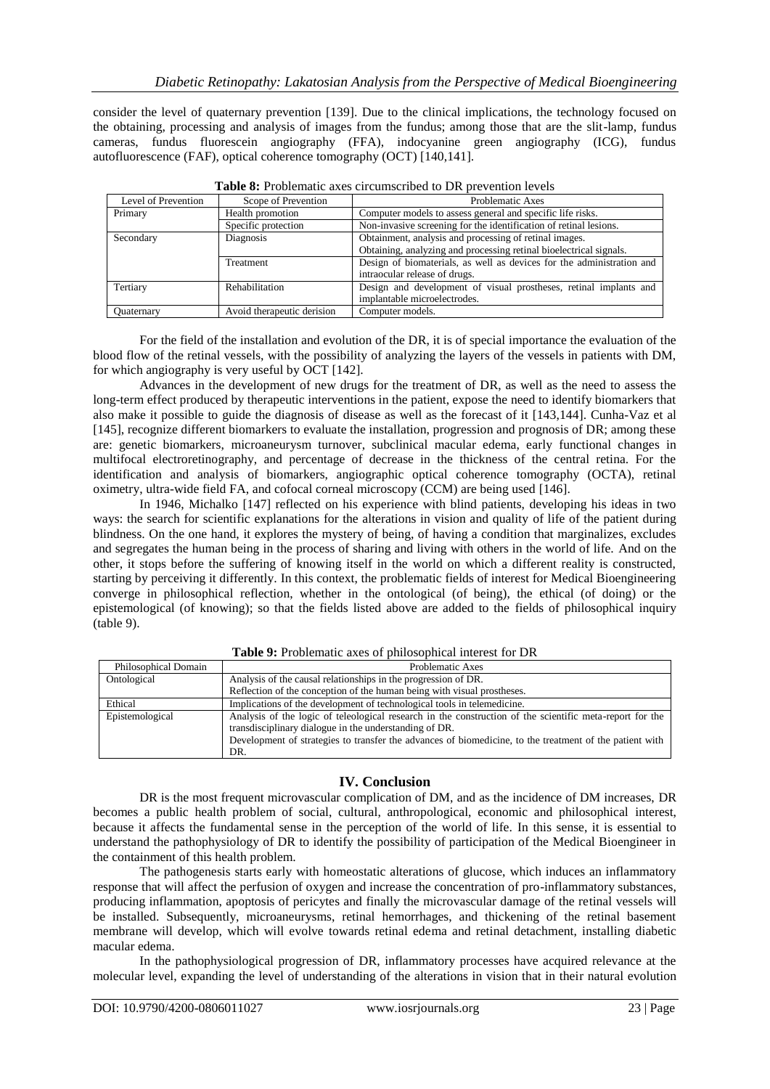consider the level of quaternary prevention [139]. Due to the clinical implications, the technology focused on the obtaining, processing and analysis of images from the fundus; among those that are the slit-lamp, fundus cameras, fundus fluorescein angiography (FFA), indocyanine green angiography (ICG), fundus autofluorescence (FAF), optical coherence tomography (OCT) [140,141].

| Level of Prevention | Scope of Prevention        | Problematic Axes                                                      |
|---------------------|----------------------------|-----------------------------------------------------------------------|
| Primary             | Health promotion           | Computer models to assess general and specific life risks.            |
|                     | Specific protection        | Non-invasive screening for the identification of retinal lesions.     |
| Secondary           | Diagnosis                  | Obtainment, analysis and processing of retinal images.                |
|                     |                            | Obtaining, analyzing and processing retinal bioelectrical signals.    |
|                     | Treatment                  | Design of biomaterials, as well as devices for the administration and |
|                     |                            | intraocular release of drugs.                                         |
| Tertiary            | Rehabilitation             | Design and development of visual prostheses, retinal implants and     |
|                     |                            | implantable microelectrodes.                                          |
| Ouaternary          | Avoid therapeutic derision | Computer models.                                                      |

**Table 8:** Problematic axes circumscribed to DR prevention levels

For the field of the installation and evolution of the DR, it is of special importance the evaluation of the blood flow of the retinal vessels, with the possibility of analyzing the layers of the vessels in patients with DM, for which angiography is very useful by OCT [142].

Advances in the development of new drugs for the treatment of DR, as well as the need to assess the long-term effect produced by therapeutic interventions in the patient, expose the need to identify biomarkers that also make it possible to guide the diagnosis of disease as well as the forecast of it [143,144]. Cunha-Vaz et al [145], recognize different biomarkers to evaluate the installation, progression and prognosis of DR; among these are: genetic biomarkers, microaneurysm turnover, subclinical macular edema, early functional changes in multifocal electroretinography, and percentage of decrease in the thickness of the central retina. For the identification and analysis of biomarkers, angiographic optical coherence tomography (OCTA), retinal oximetry, ultra-wide field FA, and cofocal corneal microscopy (CCM) are being used [146].

In 1946, Michalko [147] reflected on his experience with blind patients, developing his ideas in two ways: the search for scientific explanations for the alterations in vision and quality of life of the patient during blindness. On the one hand, it explores the mystery of being, of having a condition that marginalizes, excludes and segregates the human being in the process of sharing and living with others in the world of life. And on the other, it stops before the suffering of knowing itself in the world on which a different reality is constructed, starting by perceiving it differently. In this context, the problematic fields of interest for Medical Bioengineering converge in philosophical reflection, whether in the ontological (of being), the ethical (of doing) or the epistemological (of knowing); so that the fields listed above are added to the fields of philosophical inquiry (table 9).

| Philosophical Domain | Problematic Axes                                                                                                                                                                                                                                                                     |  |
|----------------------|--------------------------------------------------------------------------------------------------------------------------------------------------------------------------------------------------------------------------------------------------------------------------------------|--|
| Ontological          | Analysis of the causal relationships in the progression of DR.                                                                                                                                                                                                                       |  |
|                      | Reflection of the conception of the human being with visual prostheses.                                                                                                                                                                                                              |  |
| Ethical              | Implications of the development of technological tools in telemedicine.                                                                                                                                                                                                              |  |
| Epistemological      | Analysis of the logic of teleological research in the construction of the scientific meta-report for the<br>transdisciplinary dialogue in the understanding of DR.<br>Development of strategies to transfer the advances of biomedicine, to the treatment of the patient with<br>DR. |  |

**Table 9:** Problematic axes of philosophical interest for DR

#### **IV. Conclusion**

DR is the most frequent microvascular complication of DM, and as the incidence of DM increases, DR becomes a public health problem of social, cultural, anthropological, economic and philosophical interest, because it affects the fundamental sense in the perception of the world of life. In this sense, it is essential to understand the pathophysiology of DR to identify the possibility of participation of the Medical Bioengineer in the containment of this health problem.

The pathogenesis starts early with homeostatic alterations of glucose, which induces an inflammatory response that will affect the perfusion of oxygen and increase the concentration of pro-inflammatory substances, producing inflammation, apoptosis of pericytes and finally the microvascular damage of the retinal vessels will be installed. Subsequently, microaneurysms, retinal hemorrhages, and thickening of the retinal basement membrane will develop, which will evolve towards retinal edema and retinal detachment, installing diabetic macular edema.

In the pathophysiological progression of DR, inflammatory processes have acquired relevance at the molecular level, expanding the level of understanding of the alterations in vision that in their natural evolution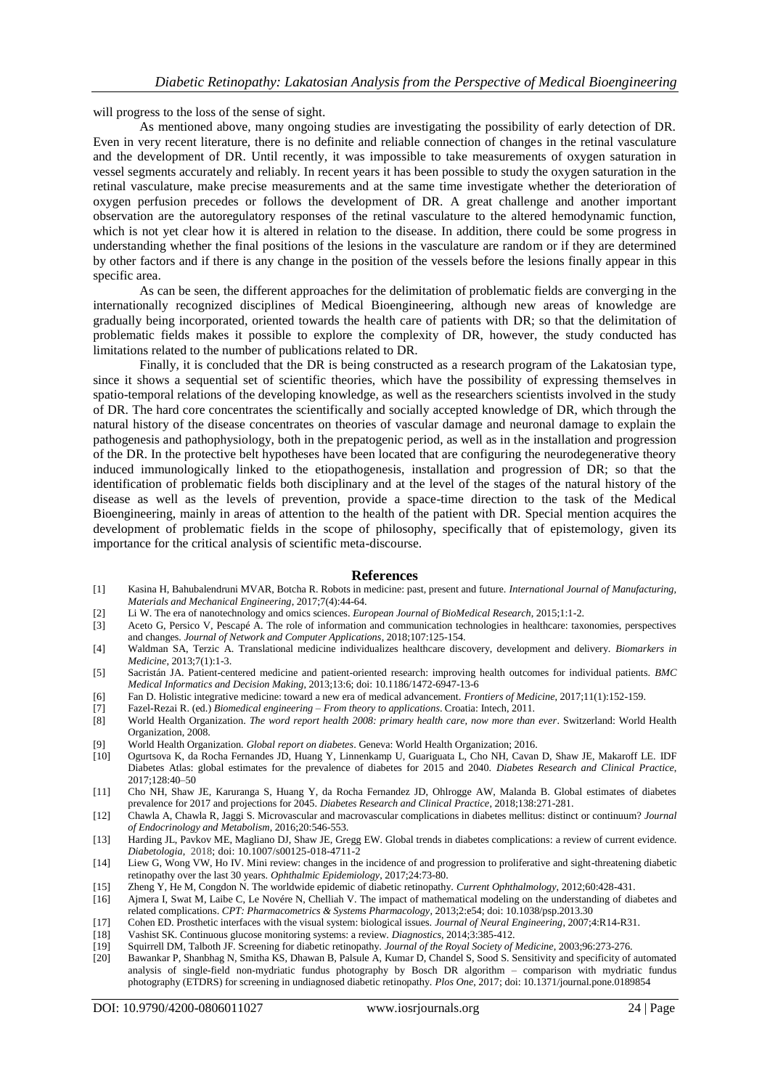will progress to the loss of the sense of sight.

As mentioned above, many ongoing studies are investigating the possibility of early detection of DR. Even in very recent literature, there is no definite and reliable connection of changes in the retinal vasculature and the development of DR. Until recently, it was impossible to take measurements of oxygen saturation in vessel segments accurately and reliably. In recent years it has been possible to study the oxygen saturation in the retinal vasculature, make precise measurements and at the same time investigate whether the deterioration of oxygen perfusion precedes or follows the development of DR. A great challenge and another important observation are the autoregulatory responses of the retinal vasculature to the altered hemodynamic function, which is not yet clear how it is altered in relation to the disease. In addition, there could be some progress in understanding whether the final positions of the lesions in the vasculature are random or if they are determined by other factors and if there is any change in the position of the vessels before the lesions finally appear in this specific area.

As can be seen, the different approaches for the delimitation of problematic fields are converging in the internationally recognized disciplines of Medical Bioengineering, although new areas of knowledge are gradually being incorporated, oriented towards the health care of patients with DR; so that the delimitation of problematic fields makes it possible to explore the complexity of DR, however, the study conducted has limitations related to the number of publications related to DR.

Finally, it is concluded that the DR is being constructed as a research program of the Lakatosian type, since it shows a sequential set of scientific theories, which have the possibility of expressing themselves in spatio-temporal relations of the developing knowledge, as well as the researchers scientists involved in the study of DR. The hard core concentrates the scientifically and socially accepted knowledge of DR, which through the natural history of the disease concentrates on theories of vascular damage and neuronal damage to explain the pathogenesis and pathophysiology, both in the prepatogenic period, as well as in the installation and progression of the DR. In the protective belt hypotheses have been located that are configuring the neurodegenerative theory induced immunologically linked to the etiopathogenesis, installation and progression of DR; so that the identification of problematic fields both disciplinary and at the level of the stages of the natural history of the disease as well as the levels of prevention, provide a space-time direction to the task of the Medical Bioengineering, mainly in areas of attention to the health of the patient with DR. Special mention acquires the development of problematic fields in the scope of philosophy, specifically that of epistemology, given its importance for the critical analysis of scientific meta-discourse.

#### **References**

- [1] Kasina H, Bahubalendruni MVAR, Botcha R. Robots in medicine: past, present and future. *International Journal of Manufacturing, Materials and Mechanical Engineering*, 2017;7(4):44-64.
- [2] Li W. The era of nanotechnology and omics sciences. *European Journal of BioMedical Research*, 2015;1:1-2.
- [3] Aceto G, Persico V, Pescapé A. The role of information and communication technologies in healthcare: taxonomies, perspectives and changes. *Journal of Network and Computer Applications*, 2018;107:125-154.
- [4] Waldman SA, Terzic A. Translational medicine individualizes healthcare discovery, development and delivery. *Biomarkers in Medicine*, 2013;7(1):1-3.
- [5] Sacristán JA. Patient-centered medicine and patient-oriented research: improving health outcomes for individual patients. *BMC Medical Informatics and Decision Making*, 2013;13:6; doi: 10.1186/1472-6947-13-6
- [6] Fan D. Holistic integrative medicine: toward a new era of medical advancement. *Frontiers of Medicine*, 2017;11(1):152-159.
- [7] Fazel-Rezai R. (ed.) *Biomedical engineering – From theory to applications*. Croatia: Intech, 2011.
- [8] World Health Organization. *The word report health 2008: primary health care, now more than ever*. Switzerland: World Health Organization, 2008.
- [9] World Health Organization*. Global report on diabetes*. Geneva: World Health Organization; 2016.
- [10] Ogurtsova K, da Rocha Fernandes JD, Huang Y, Linnenkamp U, Guariguata L, Cho NH, Cavan D, Shaw JE, Makaroff LE. IDF Diabetes Atlas: global estimates for the prevalence of diabetes for 2015 and 2040. *Diabetes Research and Clinical Practice*, 2017;128:40–50
- [11] Cho NH, Shaw JE, Karuranga S, Huang Y, da Rocha Fernandez JD, Ohlrogge AW, Malanda B. Global estimates of diabetes prevalence for 2017 and projections for 2045. *Diabetes Research and Clinical Practice*, 2018;138:271-281.
- [12] Chawla A, Chawla R, Jaggi S. Microvascular and macrovascular complications in diabetes mellitus: distinct or continuum? *Journal of Endocrinology and Metabolism*, 2016;20:546-553.
- [13] Harding JL, Pavkov ME, Magliano DJ, Shaw JE, Gregg EW. Global trends in diabetes complications: a review of current evidence. *Diabetologia*, 2018; doi: 10.1007/s00125-018-4711-2
- [14] Liew G, Wong VW, Ho IV. Mini review: changes in the incidence of and progression to proliferative and sight-threatening diabetic retinopathy over the last 30 years. *Ophthalmic Epidemiology*, 2017;24:73-80.
- [15] Zheng Y, He M, Congdon N. The worldwide epidemic of diabetic retinopathy. *Current Ophthalmology*, 2012;60:428-431.
- [16] Ajmera I, Swat M, Laibe C, Le Novére N, Chelliah V. The impact of mathematical modeling on the understanding of diabetes and related complications. *CPT: Pharmacometrics & Systems Pharmacology*, 2013;2:e54; doi: 10.1038/psp.2013.30
- [17] Cohen ED. Prosthetic interfaces with the visual system: biological issues. *Journal of Neural Engineering*, 2007;4:R14-R31.
- [18] Vashist SK. Continuous glucose monitoring systems: a review. *Diagnostics*, 2014;3:385-412.
- [19] Squirrell DM, Talboth JF. Screening for diabetic retinopathy. *Journal of the Royal Society of Medicine*, 2003;96:273-276.
- [20] Bawankar P, Shanbhag N, Smitha KS, Dhawan B, Palsule A, Kumar D, Chandel S, Sood S. Sensitivity and specificity of automated analysis of single-field non-mydriatic fundus photography by Bosch DR algorithm – comparison with mydriatic fundus photography (ETDRS) for screening in undiagnosed diabetic retinopathy. *Plos One*, 2017; doi: 10.1371/journal.pone.0189854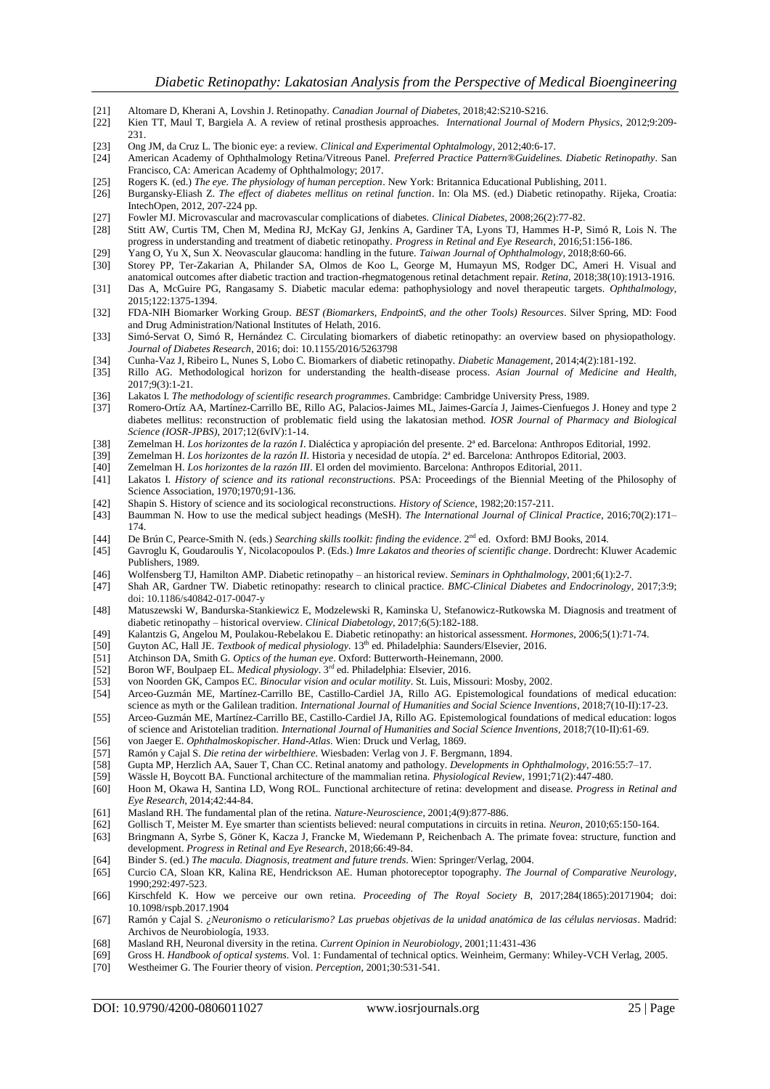- 
- [21] Altomare D, Kherani A, Lovshin J. Retinopathy. *Canadian Journal of Diabetes*, 2018;42:S210-S216. [22] Kien TT, Maul T, Bargiela A. A review of retinal prosthesis approaches. *International Journal of Modern Physics*, 2012;9:209- 231.
- [23] Ong JM, da Cruz L. The bionic eye: a review*. Clinical and Experimental Ophtalmology*, 2012;40:6-17.
- [24] American Academy of Ophthalmology Retina/Vitreous Panel. *Preferred Practice Pattern®Guidelines. Diabetic Retinopathy*. San Francisco, CA: American Academy of Ophthalmology; 2017.
- [25] Rogers K. (ed.) *The eye. The physiology of human perception*. New York: Britannica Educational Publishing, 2011.
- [26] Burgansky-Eliash Z. *The effect of diabetes mellitus on retinal function*. In: Ola MS. (ed.) Diabetic retinopathy. Rijeka, Croatia: IntechOpen, 2012, 207-224 pp.
- [27] Fowler MJ. Microvascular and macrovascular complications of diabetes. *Clinical Diabetes*, 2008;26(2):77-82.
- [28] Stitt AW, Curtis TM, Chen M, Medina RJ, McKay GJ, Jenkins A, Gardiner TA, Lyons TJ, Hammes H-P, Simó R, Lois N. The progress in understanding and treatment of diabetic retinopathy. *Progress in Retinal and Eye Research*, 2016;51:156-186.
- [29] Yang O, Yu X, Sun X. Neovascular glaucoma: handling in the future. *Taiwan Journal of Ophthalmology*, 2018;8:60-66.
- [30] Storey PP, Ter-Zakarian A, Philander SA, Olmos de Koo L, George M, Humayun MS, Rodger DC, Ameri H. Visual and anatomical outcomes after diabetic traction and traction-rhegmatogenous retinal detachment repair. *Retina*, 2018;38(10):1913-1916.
- [31] Das A, McGuire PG, Rangasamy S. Diabetic macular edema: pathophysiology and novel therapeutic targets. *Ophthalmology*, 2015;122:1375-1394.
- [32] FDA-NIH Biomarker Working Group. *BEST (Biomarkers, EndpointS, and the other Tools) Resources*. Silver Spring, MD: Food and Drug Administration/National Institutes of Helath, 2016.
- [33] Simó-Servat O, Simó R, Hernández C. Circulating biomarkers of diabetic retinopathy: an overview based on physiopathology. *Journal of Diabetes Research*, 2016; doi: 10.1155/2016/5263798
- [34] Cunha-Vaz J, Ribeiro L, Nunes S, Lobo C. Biomarkers of diabetic retinopathy. *Diabetic Management*, 2014;4(2):181-192.
- [35] Rillo AG. Methodological horizon for understanding the health-disease process. *Asian Journal of Medicine and Health*, 2017;9(3):1-21.
- 
- [36] Lakatos I. *The methodology of scientific research programmes*. Cambridge: Cambridge University Press, 1989. Romero-Ortíz AA, Martínez-Carrillo BE, Rillo AG, Palacios-Jaimes ML, Jaimes-García J, Jaimes-Cienfuegos J. Honey and type 2 diabetes mellitus: reconstruction of problematic field using the lakatosian method. *IOSR Journal of Pharmacy and Biological Science (IOSR-JPBS)*, 2017;12(6vIV):1-14.
- [38] Zemelman H. *Los horizontes de la razón I*. Dialéctica y apropiación del presente. 2ª ed. Barcelona: Anthropos Editorial, 1992.
- [39] Zemelman H. *Los horizontes de la razón II*. Historia y necesidad de utopía. 2ª ed. Barcelona: Anthropos Editorial, 2003.
- [40] Zemelman H. *Los horizontes de la razón III*. El orden del movimiento. Barcelona: Anthropos Editorial, 2011.
- Lakatos I. *History of science and its rational reconstructions*. PSA: Proceedings of the Biennial Meeting of the Philosophy of Science Association, 1970;1970;91-136.
- [42] Shapin S. History of science and its sociological reconstructions. *History of Science*, 1982;20:157-211.
- [43] Baumman N. How to use the medical subject headings (MeSH). *The International Journal of Clinical Practice*, 2016;70(2):171– 174.
- [44] De Brún C, Pearce-Smith N. (eds.) *Searching skills toolkit: finding the evidence*. 2<sup>nd</sup> ed. Oxford: BMJ Books, 2014.
- [45] Gavroglu K, Goudaroulis Y, Nicolacopoulos P. (Eds.) *Imre Lakatos and theories of scientific change*. Dordrecht: Kluwer Academic Publishers, 1989.
- [46] Wolfensberg TJ, Hamilton AMP. Diabetic retinopathy an historical review. *Seminars in Ophthalmology*, 2001;6(1):2-7.
- [47] Shah AR, Gardner TW. Diabetic retinopathy: research to clinical practice. *BMC-Clinical Diabetes and Endocrinology*, 2017;3:9; doi: 10.1186/s40842-017-0047-y
- [48] Matuszewski W, Bandurska-Stankiewicz E, Modzelewski R, Kaminska U, Stefanowicz-Rutkowska M. Diagnosis and treatment of diabetic retinopathy – historical overview. *Clinical Diabetology*, 2017;6(5):182-188.
- [49] Kalantzis G, Angelou M, Poulakou-Rebelakou E. Diabetic retinopathy: an historical assessment. *Hormones*, 2006;5(1):71-74.
- [50] Guyton AC, Hall JE. *Textbook of medical physiology*. 13<sup>th</sup> ed. Philadelphia: Saunders/Elsevier, 2016. [51] Atchinson DA, Smith G. *Optics of the human eye*. Oxford: Butterworth-Heinemann, 2000.
- [51] Atchinson DA, Smith G. *Optics of the human eye*. Oxford: Butterworth-Heinemann, 2000.
- [52] Boron WF, Boulpaep EL. *Medical physiology*. 3rd ed. Philadelphia: Elsevier, 2016.
- [53] von Noorden GK, Campos EC. *Binocular vision and ocular motility*. St. Luis, Missouri: Mosby, 2002.
- [54] Arceo-Guzmán ME, Martínez-Carrillo BE, Castillo-Cardiel JA, Rillo AG. Epistemological foundations of medical education: science as myth or the Galilean tradition. *International Journal of Humanities and Social Science Inventions*, 2018;7(10-II):17-23.
- [55] Arceo-Guzmán ME, Martínez-Carrillo BE, Castillo-Cardiel JA, Rillo AG. Epistemological foundations of medical education: logos of science and Aristotelian tradition. *International Journal of Humanities and Social Science Inventions*, 2018;7(10-II):61-69.
- [56] von Jaeger E. *Ophthalmoskopischer. Hand-Atlas*. Wien: Druck und Verlag, 1869.
- [57] Ramón y Cajal S. *Die retina der wirbelthiere*. Wiesbaden: Verlag von J. F. Bergmann, 1894.
- [58] Gupta MP, Herzlich AA, Sauer T, Chan CC. Retinal anatomy and pathology. *Developments in Ophthalmology*, 2016:55:7–17.
- [59] Wässle H, Boycott BA. Functional architecture of the mammalian retina. *Physiological Review*, 1991;71(2):447-480.
- Hoon M, Okawa H, Santina LD, Wong ROL. Functional architecture of retina: development and disease. *Progress in Retinal and Eye Research*, 2014;42:44-84.
- [61] Masland RH. The fundamental plan of the retina. *Nature-Neuroscience*, 2001;4(9):877-886.
- [62] Gollisch T, Meister M. Eye smarter than scientists believed: neural computations in circuits in retina. *Neuron*, 2010;65:150-164.
- [63] Bringmann A, Syrbe S, Göner K, Kacza J, Francke M, Wiedemann P, Reichenbach A. The primate fovea: structure, function and development. *Progress in Retinal and Eye Research*, 2018;66:49-84.
- [64] Binder S. (ed.) *The macula. Diagnosis, treatment and future trends*. Wien: Springer/Verlag, 2004.
- [65] Curcio CA, Sloan KR, Kalina RE, Hendrickson AE. Human photoreceptor topography. *The Journal of Comparative Neurology*, 1990;292:497-523.
- [66] Kirschfeld K. How we perceive our own retina. *Proceeding of The Royal Society B*, 2017;284(1865):20171904; doi: 10.1098/rspb.2017.1904
- [67] Ramón y Cajal S. *¿Neuronismo o reticularismo? Las pruebas objetivas de la unidad anatómica de las células nerviosas*. Madrid: Archivos de Neurobiología, 1933.
- [68] Masland RH, Neuronal diversity in the retina. *Current Opinion in Neurobiology*, 2001;11:431-436
- [69] Gross H. *Handbook of optical systems*. Vol. 1: Fundamental of technical optics. Weinheim, Germany: Whiley-VCH Verlag, 2005.
- [70] Westheimer G. The Fourier theory of vision. *Perception*, 2001;30:531-541.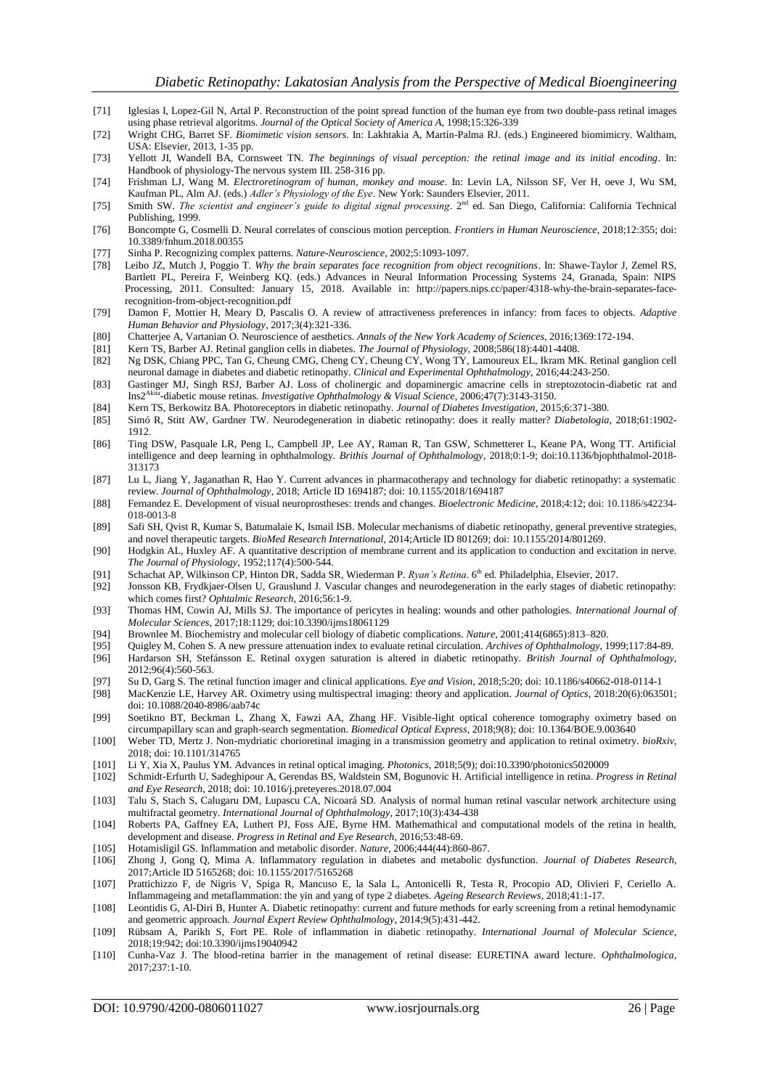- [71] Iglesias I, Lopez-Gil N, Artal P. Reconstruction of the point spread function of the human eye from two double-pass retinal images using phase retrieval algoritms. *Journal of the Optical Society of America A*, 1998;15:326-339
- [72] Wright CHG, Barret SF. *Biomimetic vision sensors*. In: Lakhtakia A, Martín-Palma RJ. (eds.) Engineered biomimicry. Waltham, USA: Elsevier, 2013, 1-35 pp.
- [73] Yellott JI, Wandell BA, Cornsweet TN. *The beginnings of visual perception: the retinal image and its initial encoding*. In: Handbook of physiology-The nervous system III. 258-316 pp.
- [74] Frishman LJ, Wang M. *Electroretinogram of human, monkey and mouse*. In: Levin LA, Nilsson SF, Ver H, oeve J, Wu SM, Kaufman PL, Alm AJ. (eds.) *Adler's Physiology of the Eye*. New York: Saunders Elsevier, 2011.
- [75] Smith SW. *The scientist and engineer's guide to digital signal processing*. 2<sup>nd</sup> ed. San Diego, California: California Technical Publishing, 1999.
- [76] Boncompte G, Cosmelli D. Neural correlates of conscious motion perception. *Frontiers in Human Neuroscience*, 2018;12:355; doi: 10.3389/fnhum.2018.00355
- [77] Sinha P. Recognizing complex patterns. *Nature-Neuroscience*, 2002;5:1093-1097.
- Leibo JZ, Mutch J, Poggio T. Why the brain separates face recognition from object recognitions. In: Shawe-Taylor J, Zemel RS, Bartlett PL, Pereira F, Weinberg KQ. (eds.) Advances in Neural Information Processing Systems 24, Granada, Spain: NIPS Processing, 2011. Consulted: January 15, 2018. Available in: http://papers.nips.cc/paper/4318-why-the-brain-separates-facerecognition-from-object-recognition.pdf
- [79] Damon F, Mottier H, Meary D, Pascalis O. A review of attractiveness preferences in infancy: from faces to objects. *Adaptive Human Behavior and Physiology*, 2017;3(4):321-336.
- [80] Chatterjee A, Vartanian O. Neuroscience of aesthetics. *Annals of the New York Academy of Sciences*, 2016;1369:172-194.
- [81] Kern TS, Barber AJ. Retinal ganglion cells in diabetes. *The Journal of Physiology*, 2008;586(18):4401-4408.
- [82] Ng DSK, Chiang PPC, Tan G, Cheung CMG, Cheng CY, Cheung CY, Wong TY, Lamoureux EL, Ikram MK. Retinal ganglion cell neuronal damage in diabetes and diabetic retinopathy. *Clinical and Experimental Ophthalmology*, 2016;44:243-250.
- [83] Gastinger MJ, Singh RSJ, Barber AJ. Loss of cholinergic and dopaminergic amacrine cells in streptozotocin-diabetic rat and Ins2Akita -diabetic mouse retinas. *Investigative Ophthalmology & Visual Science*, 2006;47(7):3143-3150.
- [84] Kern TS, Berkowitz BA. Photoreceptors in diabetic retinopathy. *Journal of Diabetes Investigation*, 2015;6:371-380.
- [85] Simó R, Stitt AW, Gardner TW. Neurodegeneration in diabetic retinopathy: does it really matter? *Diabetologia*, 2018;61:1902- 1912.
- [86] Ting DSW, Pasquale LR, Peng L, Campbell JP, Lee AY, Raman R, Tan GSW, Schmetterer L, Keane PA, Wong TT. Artificial intelligence and deep learning in ophthalmology. *Brithis Journal of Ophthalmology*, 2018;0:1-9; doi:10.1136/bjophthalmol-2018- 313173
- [87] Lu L, Jiang Y, Jaganathan R, Hao Y. Current advances in pharmacotherapy and technology for diabetic retinopathy: a systematic review. *Journal of Ophthalmology*, 2018; Article ID 1694187; doi: 10.1155/2018/1694187
- [88] Fernandez E. Development of visual neuroprostheses: trends and changes. *Bioelectronic Medicine*, 2018;4:12; doi: 10.1186/s42234- 018-0013-8
- [89] Safi SH, Qvist R, Kumar S, Batumalaie K, Ismail ISB. Molecular mechanisms of diabetic retinopathy, general preventive strategies, and novel therapeutic targets. *BioMed Research International*, 2014;Article ID 801269; doi: 10.1155/2014/801269.
- [90] Hodgkin AL, Huxley AF. A quantitative description of membrane current and its application to conduction and excitation in nerve. *The Journal of Physiology*, 1952;117(4):500-544.
- [91] Schachat AP, Wilkinson CP, Hinton DR, Sadda SR, Wiederman P. *Ryan's Retina*. 6th ed. Philadelphia, Elsevier, 2017.
- [92] Jonsson KB, Frydkjaer-Olsen U, Grauslund J. Vascular changes and neurodegeneration in the early stages of diabetic retinopathy: which comes first? *Ophtalmic Research*, 2016;56:1-9.
- [93] Thomas HM, Cowin AJ, Mills SJ. The importance of pericytes in healing: wounds and other pathologies. *International Journal of Molecular Sciences*, 2017;18:1129; doi:10.3390/ijms18061129
- [94] Brownlee M. Biochemistry and molecular cell biology of diabetic complications. *Nature*, 2001;414(6865):813–820.
- [95] Quigley M, Cohen S. A new pressure attenuation index to evaluate retinal circulation. *Archives of Ophthalmology*, 1999;117:84-89. [96] Hardarson SH, Stefánsson E. Retinal oxygen saturation is altered in diabetic retinopathy. *British Journal of Ophthalmology*,
- 2012;96(4):560-563.
- [97] Su D, Garg S. The retinal function imager and clinical applications. *Eye and Vision*, 2018;5:20; doi: 10.1186/s40662-018-0114-1 [98] MacKenzie LE, Harvey AR. Oximetry using multispectral imaging: theory and application. *Journal of Optics*, 2018:20(6):063501;
- doi: 10.1088/2040-8986/aab74c
- [99] Soetikno BT, Beckman L, Zhang X, Fawzi AA, Zhang HF. Visible-light optical coherence tomography oximetry based on circumpapillary scan and graph-search segmentation. *Biomedical Optical Express*, 2018;9(8); doi: 10.1364/BOE.9.003640
- [100] Weber TD, Mertz J. Non-mydriatic chorioretinal imaging in a transmission geometry and application to retinal oximetry. *bioRxiv*, 2018; doi: 10.1101/314765
- [101] Li Y, Xia X, Paulus YM. Advances in retinal optical imaging. *Photonics*, 2018;5(9); doi:10.3390/photonics5020009
- [102] Schmidt-Erfurth U, Sadeghipour A, Gerendas BS, Waldstein SM, Bogunovic H. Artificial intelligence in retina. *Progress in Retinal and Eye Research*, 2018; doi: 10.1016/j.preteyeres.2018.07.004
- [103] Talu S, Stach S, Calugaru DM, Lupascu CA, Nicoará SD. Analysis of normal human retinal vascular network architecture using multifractal geometry. *International Journal of Ophthalmology*, 2017;10(3):434-438
- [104] Roberts PA, Gaffney EA, Luthert PJ, Foss AJE, Byrne HM. Mathemathical and computational models of the retina in health, development and disease. *Progress in Retinal and Eye Research*, 2016;53:48-69.
- [105] Hotamisligil GS. Inflammation and metabolic disorder. *Nature*, 2006;444(44):860-867.
- [106] Zhong J, Gong Q, Mima A. Inflammatory regulation in diabetes and metabolic dysfunction. *Journal of Diabetes Research*, 2017;Article ID 5165268; doi: 10.1155/2017/5165268
- [107] Prattichizzo F, de Nigris V, Spiga R, Mancuso E, la Sala L, Antonicelli R, Testa R, Procopio AD, Olivieri F, Ceriello A. Inflammageing and metaflammation: the yin and yang of type 2 diabetes. *Ageing Research Reviews*, 2018;41:1-17.
- [108] Leontidis G, Al-Diri B, Hunter A. Diabetic retinopathy: current and future methods for early screening from a retinal hemodynamic and geometric approach. *Journal Expert Review Ophthalmology*, 2014;9(5):431-442.
- [109] Rübsam A, Parikh S, Fort PE. Role of inflammation in diabetic retinopathy. *International Journal of Molecular Science*, 2018;19:942; doi:10.3390/ijms19040942
- [110] Cunha-Vaz J. The blood-retina barrier in the management of retinal disease: EURETINA award lecture. *Ophthalmologica*, 2017;237:1-10.